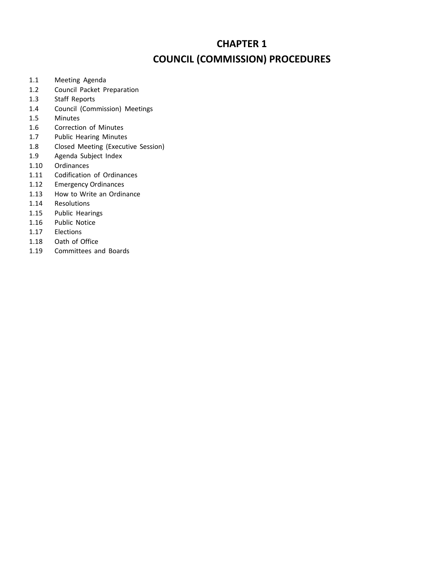## **CHAPTER 1**

# **COUNCIL (COMMISSION) PROCEDURES**

- 1.1 Meeting Agenda
- 1.2 Council Packet Preparation
- 1.3 Staff Reports
- 1.4 Council (Commission) Meetings
- 1.5 Minutes
- 1.6 Correction of Minutes
- 1.7 Public Hearing Minutes
- 1.8 Closed Meeting (Executive Session)
- 1.9 Agenda Subject Index
- 1.10 Ordinances
- 1.11 Codification of Ordinances
- 1.12 Emergency Ordinances
- 1.13 How to Write an Ordinance
- 1.14 Resolutions
- 1.15 Public Hearings
- 1.16 Public Notice
- 1.17 Elections
- 1.18 Oath of Office
- 1.19 Committees and Boards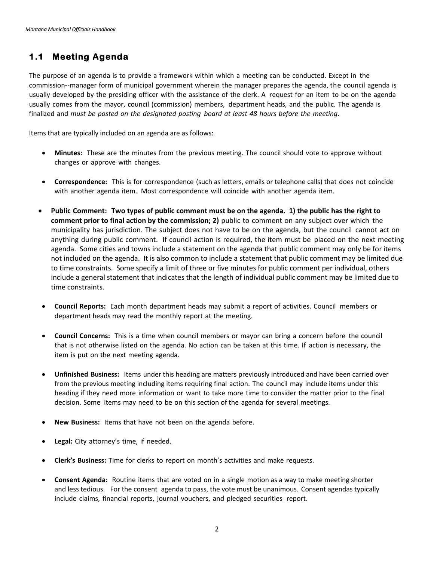## **1.1 Meeting Agenda**

The purpose of an agenda is to provide a framework within which a meeting can be conducted. Except in the commission--manager form of municipal government wherein the manager prepares the agenda, the council agenda is usually developed by the presiding officer with the assistance of the clerk. A request for an item to be on the agenda usually comes from the mayor, council (commission) members, department heads, and the public. The agenda is finalized and *must be posted on the designated posting board at least 48 hours before the meeting*.

Items that are typically included on an agenda are as follows:

- **Minutes:** These are the minutes from the previous meeting. The council should vote to approve without changes or approve with changes.
- **Correspondence:** This is for correspondence (such as letters, emails or telephone calls) that does not coincide with another agenda item. Most correspondence will coincide with another agenda item.
- **Public Comment: Two types of public comment must be on the agenda. 1) the public has the right to comment prior to final action by the commission; 2)** public to comment on any subject over which the municipality has jurisdiction. The subject does not have to be on the agenda, but the council cannot act on anything during public comment. If council action is required, the item must be placed on the next meeting agenda. Some cities and towns include a statement on the agenda that public comment may only be for items not included on the agenda. It is also common to include a statement that public comment may be limited due to time constraints. Some specify a limit of three or five minutes for public comment per individual, others include a general statement that indicates that the length of individual public comment may be limited due to time constraints.
- **Council Reports:** Each month department heads may submit a report of activities. Council members or department heads may read the monthly report at the meeting.
- **Council Concerns:** This is a time when council members or mayor can bring a concern before the council that is not otherwise listed on the agenda. No action can be taken at this time. If action is necessary, the item is put on the next meeting agenda.
- **Unfinished Business:** Items under this heading are matters previously introduced and have been carried over from the previous meeting including items requiring final action. The council may include items under this heading if they need more information or want to take more time to consider the matter prior to the final decision. Some items may need to be on this section of the agenda for several meetings.
- **New Business:** Items that have not been on the agenda before.
- **Legal:** City attorney's time, if needed.
- **Clerk's Business:** Time for clerks to report on month's activities and make requests.
- **Consent Agenda:** Routine items that are voted on in a single motion as a way to make meeting shorter and less tedious. For the consent agenda to pass, the vote must be unanimous. Consent agendas typically include claims, financial reports, journal vouchers, and pledged securities report.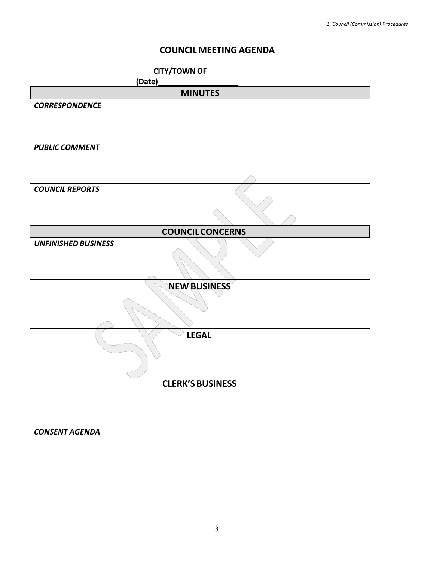## **COUNCIL MEETING AGENDA**

| CITY/TOWN OF__________________<br>(Date) |  |
|------------------------------------------|--|
| <b>MINUTES</b>                           |  |
| <b>CORRESPONDENCE</b>                    |  |
|                                          |  |
| <b>PUBLIC COMMENT</b>                    |  |
|                                          |  |
|                                          |  |
| <b>COUNCIL REPORTS</b>                   |  |
|                                          |  |
| <b>COUNCIL CONCERNS</b>                  |  |
| <b>UNFINISHED BUSINESS</b>               |  |
| <b>NEW BUSINESS</b>                      |  |
|                                          |  |
| <b>LEGAL</b>                             |  |
| <b>CLERK'S BUSINESS</b>                  |  |

*CONSENT AGENDA*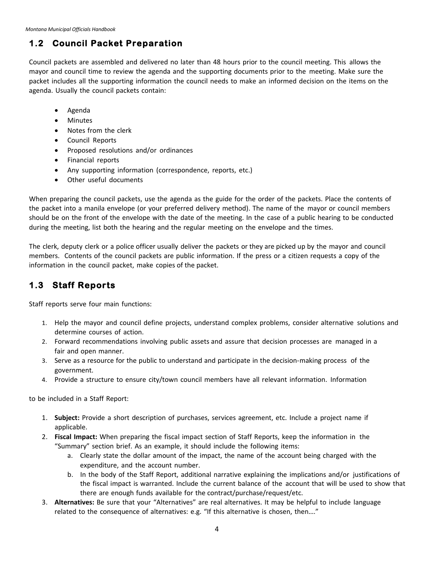## **1.2 Council Packet Preparation**

Council packets are assembled and delivered no later than 48 hours prior to the council meeting. This allows the mayor and council time to review the agenda and the supporting documents prior to the meeting. Make sure the packet includes all the supporting information the council needs to make an informed decision on the items on the agenda. Usually the council packets contain:

- Agenda
- Minutes
- Notes from the clerk
- Council Reports
- Proposed resolutions and/or ordinances
- Financial reports
- Any supporting information (correspondence, reports, etc.)
- Other useful documents

When preparing the council packets, use the agenda as the guide for the order of the packets. Place the contents of the packet into a manila envelope (or your preferred delivery method). The name of the mayor or council members should be on the front of the envelope with the date of the meeting. In the case of a public hearing to be conducted during the meeting, list both the hearing and the regular meeting on the envelope and the times.

The clerk, deputy clerk or a police officer usually deliver the packets or they are picked up by the mayor and council members. Contents of the council packets are public information. If the press or a citizen requests a copy of the information in the council packet, make copies of the packet.

## **1.3 Staff Reports**

Staff reports serve four main functions:

- 1. Help the mayor and council define projects, understand complex problems, consider alternative solutions and determine courses of action.
- 2. Forward recommendations involving public assets and assure that decision processes are managed in a fair and open manner.
- 3. Serve as a resource for the public to understand and participate in the decision-making process of the government.
- 4. Provide a structure to ensure city/town council members have all relevant information. Information

to be included in a Staff Report:

- 1. **Subject:** Provide a short description of purchases, services agreement, etc. Include a project name if applicable.
- 2. **Fiscal Impact:** When preparing the fiscal impact section of Staff Reports, keep the information in the "Summary" section brief. As an example, it should include the following items:
	- a. Clearly state the dollar amount of the impact, the name of the account being charged with the expenditure, and the account number.
	- b. In the body of the Staff Report, additional narrative explaining the implications and/or justifications of the fiscal impact is warranted. Include the current balance of the account that will be used to show that there are enough funds available for the contract/purchase/request/etc.
- 3. **Alternatives:** Be sure that your "Alternatives" are real alternatives. It may be helpful to include language related to the consequence of alternatives: e.g. "If this alternative is chosen, then…."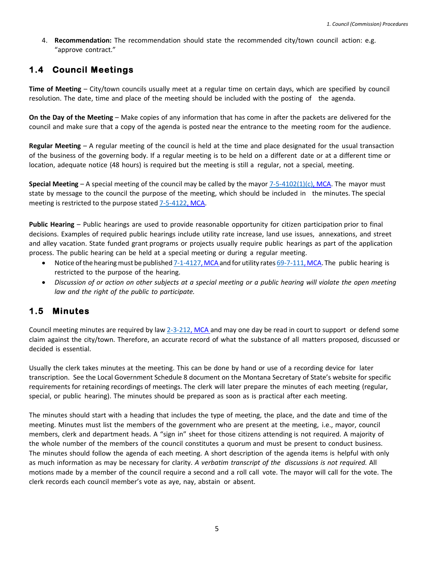4. **Recommendation:** The recommendation should state the recommended city/town council action: e.g. "approve contract."

## **1.4 Council Meetings**

**Time of Meeting** – City/town councils usually meet at a regular time on certain days, which are specified by council resolution. The date, time and place of the meeting should be included with the posting of the agenda.

**On the Day of the Meeting** – Make copies of any information that has come in after the packets are delivered for the council and make sure that a copy of the agenda is posted near the entrance to the meeting room for the audience.

**Regular Meeting** – A regular meeting of the council is held at the time and place designated for the usual transaction of the business of the governing body. If a regular meeting is to be held on a different date or at a different time or location, adequate notice (48 hours) is required but the meeting is still a regular, not a special, meeting.

**Special Meeting** – A special meeting of the council may be called by the mayor [7-5-4102\(1\)\(c\),](https://leg.mt.gov/bills/mca/title_0070/chapter_0050/part_0410/section_0020/0070-0050-0410-0020.html) MCA. The mayor must state by message to the council the purpose of the meeting, which should be included in the minutes. The special meeting is restricted to the purpose stated  $7-5-4122$ , MCA.

**Public Hearing** – Public hearings are used to provide reasonable opportunity for citizen participation prior to final decisions. Examples of required public hearings include utility rate increase, land use issues, annexations, and street and alley vacation. State funded grant programs or projects usually require public hearings as part of the application process. The public hearing can be held at a special meeting or during a regular meeting.

- Notice of the hearing must be published [7-1-4127,](https://leg.mt.gov/bills/mca/title_0070/chapter_0010/part_0410/section_0270/0070-0010-0410-0270.html) MCA and for utility rates [69-7-111,](https://leg.mt.gov/bills/mca/title_0690/chapter_0070/part_0010/section_0110/0690-0070-0010-0110.html) MCA. The public hearing is restricted to the purpose of the hearing.
- Discussion of or action on other subjects at a special meeting or a public hearing will violate the open meeting *law and the right of the public to participate.*

## **1.5 Minutes**

Council meeting minutes are required by law  $2-3-212$ , MCA and may one day be read in court to support or defend some claim against the city/town. Therefore, an accurate record of what the substance of all matters proposed, discussed or decided is essential.

Usually the clerk takes minutes at the meeting. This can be done by hand or use of a recording device for later transcription. See the Local Government Schedule 8 document on the Montana Secretary of State's website for specific requirements for retaining recordings of meetings. The clerk will later prepare the minutes of each meeting (regular, special, or public hearing). The minutes should be prepared as soon as is practical after each meeting.

The minutes should start with a heading that includes the type of meeting, the place, and the date and time of the meeting. Minutes must list the members of the government who are present at the meeting, i.e., mayor, council members, clerk and department heads. A "sign in" sheet for those citizens attending is not required. A majority of the whole number of the members of the council constitutes a quorum and must be present to conduct business. The minutes should follow the agenda of each meeting. A short description of the agenda items is helpful with only as much information as may be necessary for clarity. *A verbatim transcript of the discussions is not required.* All motions made by a member of the council require a second and a roll call vote. The mayor will call for the vote. The clerk records each council member's vote as aye, nay, abstain or absent.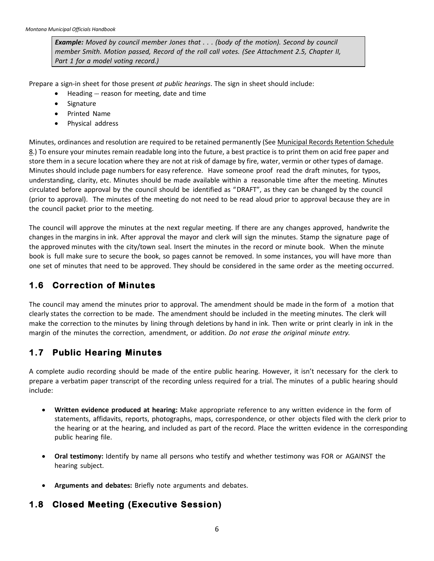*Example: Moved by council member Jones that . . . (body of the motion). Second by council member Smith. Motion passed, Record of the roll call votes. (See Attachment 2.5, Chapter II, Part 1 for a model voting record.)*

Prepare a sign-in sheet for those present *at public hearings*. The sign in sheet should include:

- Heading -- reason for meeting, date and time
- Signature
- Printed Name
- Physical address

Minutes, ordinances and resolution are required to be retained permanently (Se[e Municipal Records Retention Schedule](https://sosmt.gov/wp-content/uploads/attachments/Local_Schedule8.pdf?dt=1519325550089)  [8.](https://sosmt.gov/wp-content/uploads/attachments/Local_Schedule8.pdf?dt=1519325550089)) To ensure your minutes remain readable long into the future, a best practice is to print them on acid free paper and store them in a secure location where they are not at risk of damage by fire, water, vermin or other types of damage. Minutes should include page numbers for easy reference. Have someone proof read the draft minutes, for typos, understanding, clarity, etc. Minutes should be made available within a reasonable time after the meeting. Minutes circulated before approval by the council should be identified as "DRAFT", as they can be changed by the council (prior to approval). The minutes of the meeting do not need to be read aloud prior to approval because they are in the council packet prior to the meeting.

The council will approve the minutes at the next regular meeting. If there are any changes approved, handwrite the changes in the margins in ink. After approval the mayor and clerk will sign the minutes. Stamp the signature page of the approved minutes with the city/town seal. Insert the minutes in the record or minute book. When the minute book is full make sure to secure the book, so pages cannot be removed. In some instances, you will have more than one set of minutes that need to be approved. They should be considered in the same order as the meeting occurred.

## **1.6 Correction of Minutes**

The council may amend the minutes prior to approval. The amendment should be made in the form of a motion that clearly states the correction to be made. The amendment should be included in the meeting minutes. The clerk will make the correction to the minutes by lining through deletions by hand in ink. Then write or print clearly in ink in the margin of the minutes the correction, amendment, or addition. *Do not erase the original minute entry.*

## **1.7 Public Hearing Minutes**

A complete audio recording should be made of the entire public hearing. However, it isn't necessary for the clerk to prepare a verbatim paper transcript of the recording unless required for a trial. The minutes of a public hearing should include:

- **Written evidence produced at hearing:** Make appropriate reference to any written evidence in the form of statements, affidavits, reports, photographs, maps, correspondence, or other objects filed with the clerk prior to the hearing or at the hearing, and included as part of the record. Place the written evidence in the corresponding public hearing file.
- **Oral testimony:** Identify by name all persons who testify and whether testimony was FOR or AGAINST the hearing subject.
- **Arguments and debates:** Briefly note arguments and debates.

## **1.8 Closed Meeting (Executive Session)**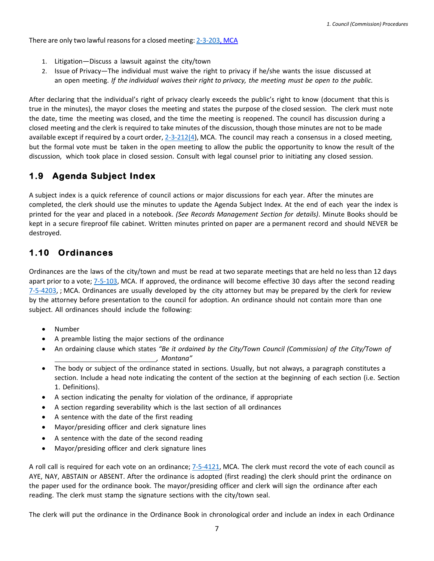There are only two lawful reasons for a closed meeting: [2-3-203,](https://leg.mt.gov/bills/mca/title_0020/chapter_0030/part_0020/section_0030/0020-0030-0020-0030.html) MCA

- 1. Litigation—Discuss a lawsuit against the city/town
- 2. Issue of Privacy—The individual must waive the right to privacy if he/she wants the issue discussed at an open meeting. *If the individual waives their right to privacy, the meeting must be open to the public.*

After declaring that the individual's right of privacy clearly exceeds the public's right to know (document that this is true in the minutes), the mayor closes the meeting and states the purpose of the closed session. The clerk must note the date, time the meeting was closed, and the time the meeting is reopened. The council has discussion during a closed meeting and the clerk is required to take minutes of the discussion, though those minutes are not to be made available except if required by a court order,  $2-3-212(4)$ , MCA. The council may reach a consensus in a closed meeting, but the formal vote must be taken in the open meeting to allow the public the opportunity to know the result of the discussion, which took place in closed session. Consult with legal counsel prior to initiating any closed session.

## **1.9 Agenda Subject Index**

A subject index is a quick reference of council actions or major discussions for each year. After the minutes are completed, the clerk should use the minutes to update the Agenda Subject Index. At the end of each year the index is printed for the year and placed in a notebook. *(See Records Management Section for details)*. Minute Books should be kept in a secure fireproof file cabinet. Written minutes printed on paper are a permanent record and should NEVER be destroyed.

## **1.10 Ordinances**

Ordinances are the laws of the city/town and must be read at two separate meetings that are held no less than 12 days apart prior to a vote[; 7-5-103,](https://leg.mt.gov/bills/mca/title_0070/chapter_0050/part_0010/section_0030/0070-0050-0010-0030.html) MCA. If approved, the ordinance will become effective 30 days after the second reading [7-5-4203,](https://leg.mt.gov/bills/mca/title_0070/chapter_0050/part_0420/section_0030/0070-0050-0420-0030.html) ; MCA. Ordinances are usually developed by the city attorney but may be prepared by the clerk for review by the attorney before presentation to the council for adoption. An ordinance should not contain more than one subject. All ordinances should include the following:

- Number
- A preamble listing the major sections of the ordinance
- An ordaining clause which states *"Be it ordained by the City/Town Council (Commission) of the City/Town of , Montana"*
- The body or subject of the ordinance stated in sections. Usually, but not always, a paragraph constitutes a section. Include a head note indicating the content of the section at the beginning of each section (i.e. Section 1. Definitions).
- A section indicating the penalty for violation of the ordinance, if appropriate
- A section regarding severability which is the last section of all ordinances
- A sentence with the date of the first reading
- Mayor/presiding officer and clerk signature lines
- A sentence with the date of the second reading
- Mayor/presiding officer and clerk signature lines

A roll call is required for each vote on an ordinance; [7-5-4121,](https://leg.mt.gov/bills/mca/title_0070/chapter_0050/part_0410/section_0210/0070-0050-0410-0210.html) MCA. The clerk must record the vote of each council as AYE, NAY, ABSTAIN or ABSENT. After the ordinance is adopted (first reading) the clerk should print the ordinance on the paper used for the ordinance book. The mayor/presiding officer and clerk will sign the ordinance after each reading. The clerk must stamp the signature sections with the city/town seal.

The clerk will put the ordinance in the Ordinance Book in chronological order and include an index in each Ordinance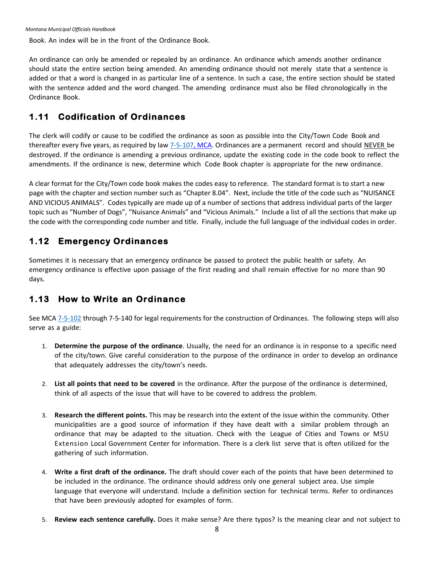Book. An index will be in the front of the Ordinance Book.

An ordinance can only be amended or repealed by an ordinance. An ordinance which amends another ordinance should state the entire section being amended. An amending ordinance should not merely state that a sentence is added or that a word is changed in as particular line of a sentence. In such a case, the entire section should be stated with the sentence added and the word changed. The amending ordinance must also be filed chronologically in the Ordinance Book.

## **1.11 Codification of Ordinances**

The clerk will codify or cause to be codified the ordinance as soon as possible into the City/Town Code Book and thereafter every five years, as required by law [7-5-107,](https://leg.mt.gov/bills/mca/title_0070/chapter_0050/part_0010/section_0070/0070-0050-0010-0070.html) MCA. Ordinances are a permanent record and should NEVER be destroyed. If the ordinance is amending a previous ordinance, update the existing code in the code book to reflect the amendments. If the ordinance is new, determine which Code Book chapter is appropriate for the new ordinance.

A clear format for the City/Town code book makes the codes easy to reference. The standard format is to start a new page with the chapter and section number such as "Chapter 8.04". Next, include the title of the code such as "NUISANCE AND VICIOUS ANIMALS". Codes typically are made up of a number of sections that address individual parts of the larger topic such as "Number of Dogs", "Nuisance Animals" and "Vicious Animals." Include a list of all the sections that make up the code with the corresponding code number and title. Finally, include the full language of the individual codes in order.

## **1.12 Emergency Ordinances**

Sometimes it is necessary that an emergency ordinance be passed to protect the public health or safety. An emergency ordinance is effective upon passage of the first reading and shall remain effective for no more than 90 days.

## **1.13 How to Write an Ordinance**

See MC[A 7-5-102](https://leg.mt.gov/bills/mca/title_0070/chapter_0050/part_0010/sections_index.html) through 7-5-140 for legal requirements for the construction of Ordinances. The following steps will also serve as a guide:

- 1. **Determine the purpose of the ordinance**. Usually, the need for an ordinance is in response to a specific need of the city/town. Give careful consideration to the purpose of the ordinance in order to develop an ordinance that adequately addresses the city/town's needs.
- 2. **List all points that need to be covered** in the ordinance. After the purpose of the ordinance is determined, think of all aspects of the issue that will have to be covered to address the problem.
- 3. **Research the different points.** This may be research into the extent of the issue within the community. Other municipalities are a good source of information if they have dealt with a similar problem through an ordinance that may be adapted to the situation. Check with the League of Cities and Towns or MSU Extension Local Government Center for information. There is a clerk list serve that is often utilized for the gathering of such information.
- 4. **Write a first draft of the ordinance.** The draft should cover each of the points that have been determined to be included in the ordinance. The ordinance should address only one general subject area. Use simple language that everyone will understand. Include a definition section for technical terms. Refer to ordinances that have been previously adopted for examples of form.
- 5. **Review each sentence carefully.** Does it make sense? Are there typos? Is the meaning clear and not subject to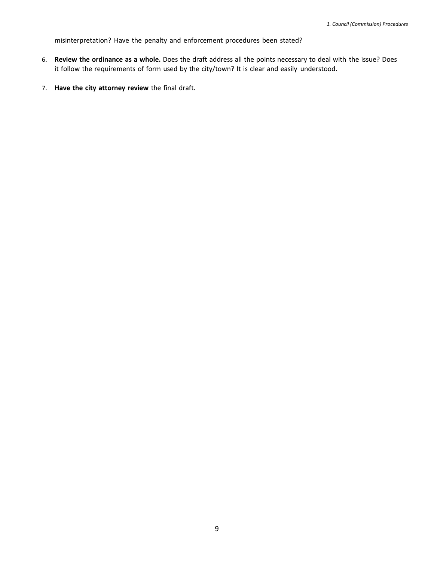misinterpretation? Have the penalty and enforcement procedures been stated?

- 6. **Review the ordinance as a whole.** Does the draft address all the points necessary to deal with the issue? Does it follow the requirements of form used by the city/town? It is clear and easily understood.
- 7. **Have the city attorney review** the final draft.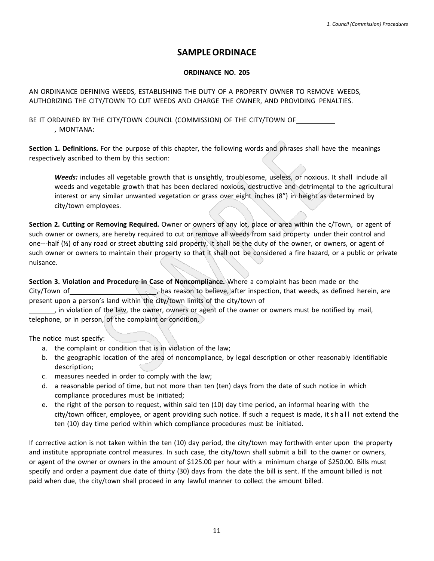## **SAMPLEORDINACE**

#### **ORDINANCE NO. 205**

AN ORDINANCE DEFINING WEEDS, ESTABLISHING THE DUTY OF A PROPERTY OWNER TO REMOVE WEEDS, AUTHORIZING THE CITY/TOWN TO CUT WEEDS AND CHARGE THE OWNER, AND PROVIDING PENALTIES.

BE IT ORDAINED BY THE CITY/TOWN COUNCIL (COMMISSION) OF THE CITY/TOWN OF , MONTANA:

**Section 1. Definitions.** For the purpose of this chapter, the following words and phrases shall have the meanings respectively ascribed to them by this section:

*Weeds:* includes all vegetable growth that is unsightly, troublesome, useless, or noxious. It shall include all weeds and vegetable growth that has been declared noxious, destructive and detrimental to the agricultural interest or any similar unwanted vegetation or grass over eight inches (8") in height as determined by city/town employees.

**Section 2. Cutting or Removing Required.** Owner or owners of any lot, place or area within the c/Town, or agent of such owner or owners, are hereby required to cut or remove all weeds from said property under their control and one---half (½) of any road or street abutting said property. It shall be the duty of the owner, or owners, or agent of such owner or owners to maintain their property so that it shall not be considered a fire hazard, or a public or private nuisance.

**Section 3. Violation and Procedure in Case of Noncompliance.** Where a complaint has been made or the City/Town of  $\Box$  has reason to believe, after inspection, that weeds, as defined herein, are present upon a person's land within the city/town limits of the city/town of

, in violation of the law, the owner, owners or agent of the owner or owners must be notified by mail, telephone, or in person, of the complaint or condition.

### The notice must specify:

- a. the complaint or condition that is in violation of the law;
- b. the geographic location of the area of noncompliance, by legal description or other reasonably identifiable description;
- c. measures needed in order to comply with the law;
- d. a reasonable period of time, but not more than ten (ten) days from the date of such notice in which compliance procedures must be initiated;
- e. the right of the person to request, within said ten (10) day time period, an informal hearing with the city/town officer, employee, or agent providing such notice. If such a request is made, it shall not extend the ten (10) day time period within which compliance procedures must be initiated.

If corrective action is not taken within the ten (10) day period, the city/town may forthwith enter upon the property and institute appropriate control measures. In such case, the city/town shall submit a bill to the owner or owners, or agent of the owner or owners in the amount of \$125.00 per hour with a minimum charge of \$250.00. Bills must specify and order a payment due date of thirty (30) days from the date the bill is sent. If the amount billed is not paid when due, the city/town shall proceed in any lawful manner to collect the amount billed.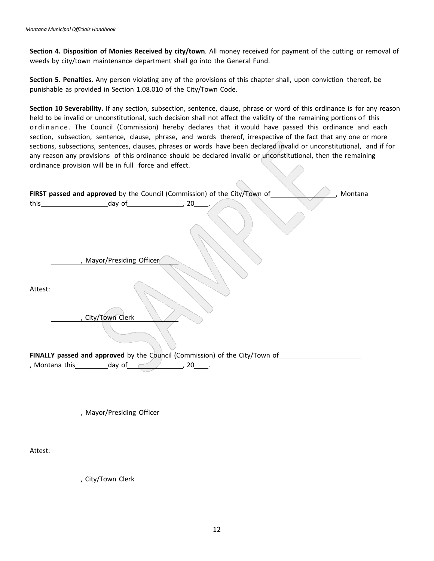**Section 4. Disposition of Monies Received by city/town**. All money received for payment of the cutting or removal of weeds by city/town maintenance department shall go into the General Fund.

**Section 5. Penalties.** Any person violating any of the provisions of this chapter shall, upon conviction thereof, be punishable as provided in Section 1.08.010 of the City/Town Code.

**Section 10 Severability.** If any section, subsection, sentence, clause, phrase or word of this ordinance is for any reason held to be invalid or unconstitutional, such decision shall not affect the validity of the remaining portions of this ordinance . The Council (Commission) hereby declares that it would have passed this ordinance and each section, subsection, sentence, clause, phrase, and words thereof, irrespective of the fact that any one or more sections, subsections, sentences, clauses, phrases or words have been declared invalid or unconstitutional, and if for any reason any provisions of this ordinance should be declared invalid or unconstitutional, then the remaining ordinance provision will be in full force and effect.

⌒

| Mayor/Presiding Officer<br>Attest:<br>, City/Town Clerk<br>FINALLY passed and approved by the Council (Commission) of the City/Town of____________ |  |
|----------------------------------------------------------------------------------------------------------------------------------------------------|--|
|                                                                                                                                                    |  |
|                                                                                                                                                    |  |
|                                                                                                                                                    |  |
|                                                                                                                                                    |  |
|                                                                                                                                                    |  |
|                                                                                                                                                    |  |
|                                                                                                                                                    |  |
|                                                                                                                                                    |  |
|                                                                                                                                                    |  |
|                                                                                                                                                    |  |
|                                                                                                                                                    |  |
|                                                                                                                                                    |  |
|                                                                                                                                                    |  |
|                                                                                                                                                    |  |
|                                                                                                                                                    |  |
| , Montana this ____________day of ____                                                                                                             |  |

, Mayor/Presiding Officer

Attest:

, City/Town Clerk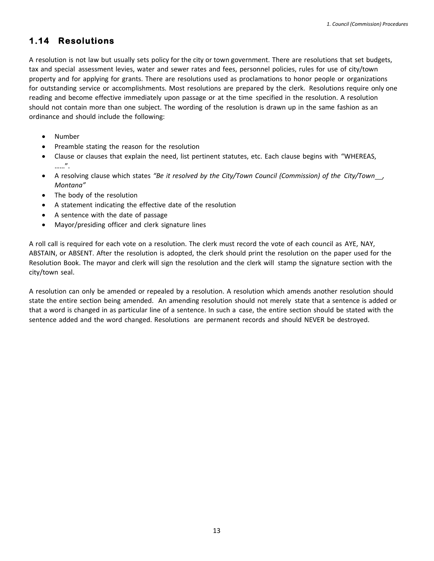# **1.14 Resolutions**

A resolution is not law but usually sets policy for the city or town government. There are resolutions that set budgets, tax and special assessment levies, water and sewer rates and fees, personnel policies, rules for use of city/town property and for applying for grants. There are resolutions used as proclamations to honor people or organizations for outstanding service or accomplishments. Most resolutions are prepared by the clerk. Resolutions require only one reading and become effective immediately upon passage or at the time specified in the resolution. A resolution should not contain more than one subject. The wording of the resolution is drawn up in the same fashion as an ordinance and should include the following:

- Number
- Preamble stating the reason for the resolution
- Clause or clauses that explain the need, list pertinent statutes, etc. Each clause begins with "WHEREAS, ……".
- A resolving clause which states *"Be it resolved by the City/Town Council (Commission) of the City/Town , Montana"*
- The body of the resolution
- A statement indicating the effective date of the resolution
- A sentence with the date of passage
- Mayor/presiding officer and clerk signature lines

A roll call is required for each vote on a resolution. The clerk must record the vote of each council as AYE, NAY, ABSTAIN, or ABSENT. After the resolution is adopted, the clerk should print the resolution on the paper used for the Resolution Book. The mayor and clerk will sign the resolution and the clerk will stamp the signature section with the city/town seal.

A resolution can only be amended or repealed by a resolution. A resolution which amends another resolution should state the entire section being amended. An amending resolution should not merely state that a sentence is added or that a word is changed in as particular line of a sentence. In such a case, the entire section should be stated with the sentence added and the word changed. Resolutions are permanent records and should NEVER be destroyed.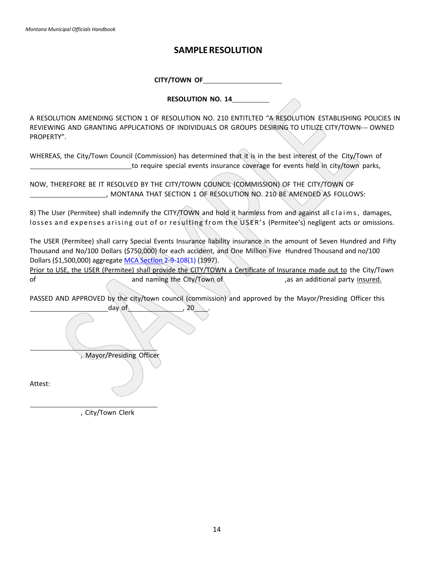### **SAMPLERESOLUTION**

**CITY/TOWN OF**

#### **RESOLUTION NO. 14**

A RESOLUTION AMENDING SECTION 1 OF RESOLUTION NO. 210 ENTITLTED "A RESOLUTION ESTABLISHING POLICIES IN REVIEWING AND GRANTING APPLICATIONS OF INDIVIDUALS OR GROUPS DESIRING TO UTILIZE CITY/TOWN--- OWNED PROPERTY".

WHEREAS, the City/Town Council (Commission) has determined that it is in the best interest of the City/Town of to require special events insurance coverage for events held in city/town parks,

NOW, THEREFORE BE IT RESOLVED BY THE CITY/TOWN COUNCIL (COMMISSION) OF THE CITY/TOWN OF , MONTANA THAT SECTION 1 OF RESOLUTION NO. 210 BE AMENDED AS FOLLOWS:

8) The User (Permitee) shall indemnify the CITY/TOWN and hold it harmless from and against all claims, damages, losses and expenses arising out of or resulting from the USER's (Permitee's) negligent acts or omissions.

The USER (Permitee) shall carry Special Events Insurance liability insurance in the amount of Seven Hundred and Fifty Thousand and No/100 Dollars (\$750,000) for each accident, and One Million Five Hundred Thousand and no/100 Dollars (\$1,500,000) aggregate MCA Section 2-9-108(1) (1997).

Prior to USE, the USER (Permitee) shall provide the CITY/TOWN a Certificate of Insurance made out to the City/Town of and naming the City/Town of the state of the case of the state of the case of the case of the case of the state of the state of the state of the state of the state of the state of the state of the state of the state of

PASSED AND APPROVED by the city/town council (commission) and approved by the Mayor/Presiding Officer this day of  $\sim$  , 20

, Mayor/Presiding Officer

Attest:

, City/Town Clerk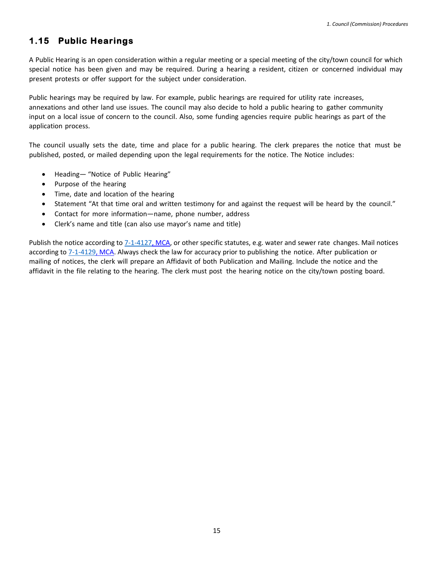# **1.15 Public Hearings**

A Public Hearing is an open consideration within a regular meeting or a special meeting of the city/town council for which special notice has been given and may be required. During a hearing a resident, citizen or concerned individual may present protests or offer support for the subject under consideration.

Public hearings may be required by law. For example, public hearings are required for utility rate increases, annexations and other land use issues. The council may also decide to hold a public hearing to gather community input on a local issue of concern to the council. Also, some funding agencies require public hearings as part of the application process.

The council usually sets the date, time and place for a public hearing. The clerk prepares the notice that must be published, posted, or mailed depending upon the legal requirements for the notice. The Notice includes:

- Heading— "Notice of Public Hearing"
- Purpose of the hearing
- Time, date and location of the hearing
- Statement "At that time oral and written testimony for and against the request will be heard by the council."
- Contact for more information—name, phone number, address
- Clerk's name and title (can also use mayor's name and title)

Publish the notice according to [7-1-4127,](https://leg.mt.gov/bills/mca/title_0070/chapter_0010/part_0410/section_0270/0070-0010-0410-0270.html) MCA, or other specific statutes, e.g. water and sewer rate changes. Mail notices according to [7-1-4129,](https://leg.mt.gov/bills/mca/title_0070/chapter_0010/part_0410/section_0290/0070-0010-0410-0290.html) MCA. Always check the law for accuracy prior to publishing the notice. After publication or mailing of notices, the clerk will prepare an Affidavit of both Publication and Mailing. Include the notice and the affidavit in the file relating to the hearing. The clerk must post the hearing notice on the city/town posting board.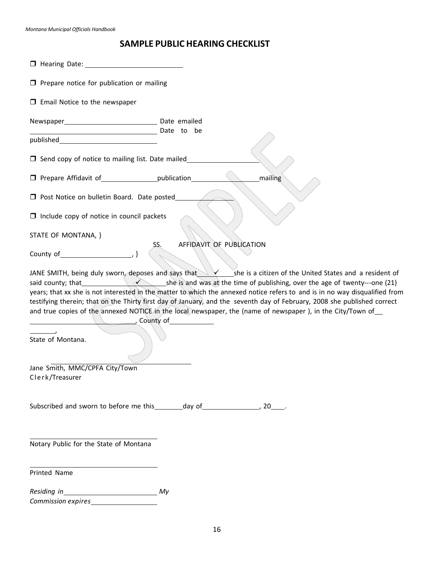## **SAMPLE PUBLIC HEARING CHECKLIST**

| $\Box$ Prepare notice for publication or mailing                                                                            |                                                                                                                                                                                                                                                                                                                                                                                                                                                                                                                                                                                                                                       |
|-----------------------------------------------------------------------------------------------------------------------------|---------------------------------------------------------------------------------------------------------------------------------------------------------------------------------------------------------------------------------------------------------------------------------------------------------------------------------------------------------------------------------------------------------------------------------------------------------------------------------------------------------------------------------------------------------------------------------------------------------------------------------------|
| $\Box$ Email Notice to the newspaper                                                                                        |                                                                                                                                                                                                                                                                                                                                                                                                                                                                                                                                                                                                                                       |
|                                                                                                                             |                                                                                                                                                                                                                                                                                                                                                                                                                                                                                                                                                                                                                                       |
| Date to be                                                                                                                  |                                                                                                                                                                                                                                                                                                                                                                                                                                                                                                                                                                                                                                       |
| □ Send copy of notice to mailing list. Date mailed                                                                          |                                                                                                                                                                                                                                                                                                                                                                                                                                                                                                                                                                                                                                       |
| □ Prepare Affidavit of _____________________publication                                                                     | mailing                                                                                                                                                                                                                                                                                                                                                                                                                                                                                                                                                                                                                               |
| □ Post Notice on bulletin Board. Date posted                                                                                |                                                                                                                                                                                                                                                                                                                                                                                                                                                                                                                                                                                                                                       |
| $\Box$ Include copy of notice in council packets                                                                            |                                                                                                                                                                                                                                                                                                                                                                                                                                                                                                                                                                                                                                       |
| STATE OF MONTANA, }<br>SS.                                                                                                  | AFFIDAVIT OF PUBLICATION                                                                                                                                                                                                                                                                                                                                                                                                                                                                                                                                                                                                              |
| County of <b>County of County of</b>                                                                                        |                                                                                                                                                                                                                                                                                                                                                                                                                                                                                                                                                                                                                                       |
|                                                                                                                             | JANE SMITH, being duly sworn, deposes and says that $\sqrt{ }$ she is a citizen of the United States and a resident of<br>said county; that $\leq$ she is and was at the time of publishing, over the age of twenty---one (21)<br>years; that xx she is not interested in the matter to which the annexed notice refers to and is in no way disqualified from<br>testifying therein; that on the Thirty first day of January, and the seventh day of February, 2008 she published correct<br>and true copies of the annexed NOTICE in the local newspaper, the (name of newspaper), in the City/Town of<br>County of <b>County</b> of |
| State of Montana.                                                                                                           |                                                                                                                                                                                                                                                                                                                                                                                                                                                                                                                                                                                                                                       |
| Jane Smith, MMC/CPFA City/Town<br>Clerk/Treasurer                                                                           |                                                                                                                                                                                                                                                                                                                                                                                                                                                                                                                                                                                                                                       |
| Subscribed and sworn to before me this _______ day of _____________________, 20_____.                                       |                                                                                                                                                                                                                                                                                                                                                                                                                                                                                                                                                                                                                                       |
| Notary Public for the State of Montana                                                                                      |                                                                                                                                                                                                                                                                                                                                                                                                                                                                                                                                                                                                                                       |
| <u> 1980 - Johann Barn, amerikan bestemanns og forskellige og større og større og større og større og s</u><br>Printed Name |                                                                                                                                                                                                                                                                                                                                                                                                                                                                                                                                                                                                                                       |
|                                                                                                                             |                                                                                                                                                                                                                                                                                                                                                                                                                                                                                                                                                                                                                                       |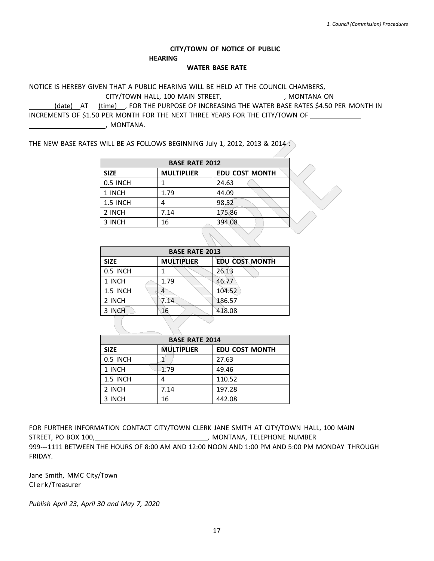### **CITY/TOWN OF NOTICE OF PUBLIC HEARING**

#### **WATER BASE RATE**

NOTICE IS HEREBY GIVEN THAT A PUBLIC HEARING WILL BE HELD AT THE COUNCIL CHAMBERS, CITY/TOWN HALL, 100 MAIN STREET, MONTANA ON (date) AT (time) , FOR THE PURPOSE OF INCREASING THE WATER BASE RATES \$4.50 PER MONTH IN INCREMENTS OF \$1.50 PER MONTH FOR THE NEXT THREE YEARS FOR THE CITY/TOWN OF **CONTAINA.** MONTANA.

THE NEW BASE RATES WILL BE AS FOLLOWS BEGINNING July 1, 2012, 2013 & 2014 :

| <b>BASE RATE 2012</b> |                   |                       |  |
|-----------------------|-------------------|-----------------------|--|
| <b>SIZE</b>           | <b>MULTIPLIER</b> | <b>EDU COST MONTH</b> |  |
| 0.5 INCH              |                   | 24.63                 |  |
| 1 INCH                | 1.79              | 44.09                 |  |
| <b>1.5 INCH</b>       | 4                 | 98.52                 |  |
| 2 INCH                | 7.14              | 175.86                |  |
| 3 INCH                | 16                | 394.08                |  |

| <b>BASE RATE 2013</b> |                   |                |
|-----------------------|-------------------|----------------|
| <b>SIZE</b>           | <b>MULTIPLIER</b> | EDU COST MONTH |
| 0.5 INCH              |                   | 26.13          |
| 1 INCH                | 1.79              | 46.77          |
| 1.5 INCH              | 4                 | 104.52         |
| 2 INCH                | 7.14              | 186.57         |
| 3 INCH                | 16                | 418.08         |
|                       |                   |                |

| <b>BASE RATE 2014</b> |                   |                       |
|-----------------------|-------------------|-----------------------|
| <b>SIZE</b>           | <b>MULTIPLIER</b> | <b>EDU COST MONTH</b> |
| 0.5 INCH              |                   | 27.63                 |
| 1 INCH                | 1.79              | 49.46                 |
| <b>1.5 INCH</b>       |                   | 110.52                |
| 2 INCH                | 7.14              | 197.28                |
| 3 INCH                | 16                | 442.08                |

FOR FURTHER INFORMATION CONTACT CITY/TOWN CLERK JANE SMITH AT CITY/TOWN HALL, 100 MAIN STREET, PO BOX 100, , MONTANA, TELEPHONE NUMBER 999---1111 BETWEEN THE HOURS OF 8:00 AM AND 12:00 NOON AND 1:00 PM AND 5:00 PM MONDAY THROUGH FRIDAY.

Jane Smith, MMC City/Town Clerk/Treasurer

*Publish April 23, April 30 and May 7, 2020*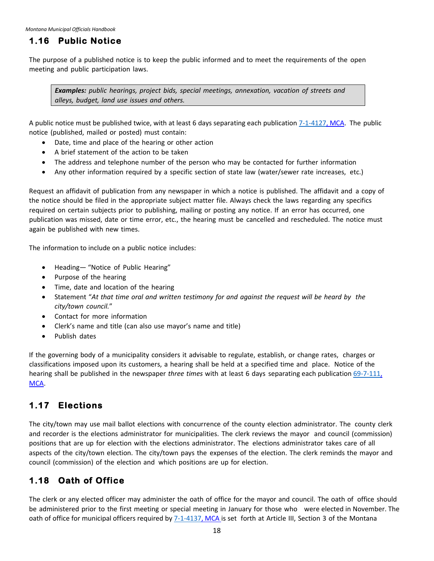## **1.16 Public Notice**

The purpose of a published notice is to keep the public informed and to meet the requirements of the open meeting and public participation laws.

*Examples: public hearings, project bids, special meetings, annexation, vacation of streets and alleys, budget, land use issues and others.*

A public notice must be published twice, with at least 6 days separating each publication [7-1-4127,](https://leg.mt.gov/bills/mca/title_0070/chapter_0010/part_0410/section_0270/0070-0010-0410-0270.html) MCA. The public notice (published, mailed or posted) must contain:

- Date, time and place of the hearing or other action
- A brief statement of the action to be taken
- The address and telephone number of the person who may be contacted for further information
- Any other information required by a specific section of state law (water/sewer rate increases, etc.)

Request an affidavit of publication from any newspaper in which a notice is published. The affidavit and a copy of the notice should be filed in the appropriate subject matter file. Always check the laws regarding any specifics required on certain subjects prior to publishing, mailing or posting any notice. If an error has occurred, one publication was missed, date or time error, etc., the hearing must be cancelled and rescheduled. The notice must again be published with new times.

The information to include on a public notice includes:

- Heading— "Notice of Public Hearing"
- Purpose of the hearing
- Time, date and location of the hearing
- Statement "*At that time oral and written testimony for and against the request will be heard by the city/town council.*"
- Contact for more information
- Clerk's name and title (can also use mayor's name and title)
- Publish dates

If the governing body of a municipality considers it advisable to regulate, establish, or change rates, charges or classifications imposed upon its customers, a hearing shall be held at a specified time and place. Notice of the hearing shall be published in the newspaper *three times* with at least 6 days separating each publicatio[n 69-7-111,](https://leg.mt.gov/bills/mca/title_0690/chapter_0070/part_0010/section_0110/0690-0070-0010-0110.html) MCA.

## **1.17 Elections**

The city/town may use mail ballot elections with concurrence of the county election administrator. The county clerk and recorder is the elections administrator for municipalities. The clerk reviews the mayor and council (commission) positions that are up for election with the elections administrator. The elections administrator takes care of all aspects of the city/town election. The city/town pays the expenses of the election. The clerk reminds the mayor and council (commission) of the election and which positions are up for election.

## **1.18 Oath of Office**

The clerk or any elected officer may administer the oath of office for the mayor and council. The oath of office should be administered prior to the first meeting or special meeting in January for those who were elected in November. The oath of office for municipal officers required by [7-1-4137,](https://leg.mt.gov/bills/mca/title_0070/chapter_0010/part_0410/section_0370/0070-0010-0410-0370.html) MCA is set forth at Article III, Section 3 of the Montana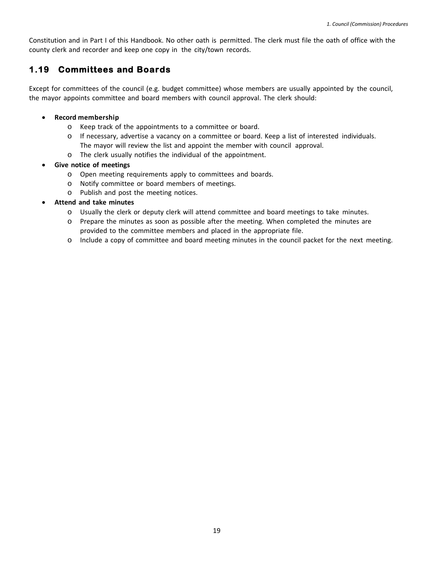Constitution and in Part I of this Handbook. No other oath is permitted. The clerk must file the oath of office with the county clerk and recorder and keep one copy in the city/town records.

## **1.19 Committees and Boards**

Except for committees of the council (e.g. budget committee) whose members are usually appointed by the council, the mayor appoints committee and board members with council approval. The clerk should:

- **Record membership**
	- o Keep track of the appointments to a committee or board.
	- o If necessary, advertise a vacancy on a committee or board. Keep a list of interested individuals. The mayor will review the list and appoint the member with council approval.
	- o The clerk usually notifies the individual of the appointment.
- **Give notice of meetings**
	- o Open meeting requirements apply to committees and boards.
	- o Notify committee or board members of meetings.
	- o Publish and post the meeting notices.
- **Attend and take minutes**
	- o Usually the clerk or deputy clerk will attend committee and board meetings to take minutes.
	- o Prepare the minutes as soon as possible after the meeting. When completed the minutes are provided to the committee members and placed in the appropriate file.
	- o Include a copy of committee and board meeting minutes in the council packet for the next meeting.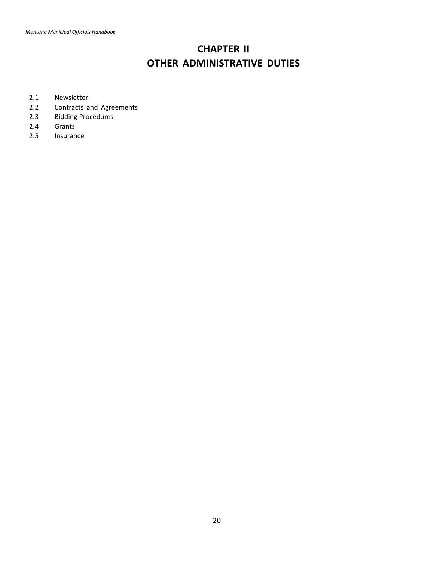# **CHAPTER II OTHER ADMINISTRATIVE DUTIES**

- 2.1 Newsletter
- 2.2 Contracts and Agreements
- 2.3 Bidding Procedures
- 2.4 Grants
- 2.5 Insurance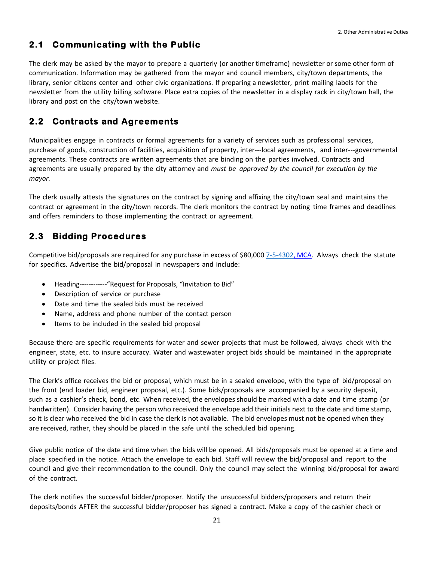## **2.1 Communicating with the Public**

The clerk may be asked by the mayor to prepare a quarterly (or another timeframe) newsletter or some other form of communication. Information may be gathered from the mayor and council members, city/town departments, the library, senior citizens center and other civic organizations. If preparing a newsletter, print mailing labels for the newsletter from the utility billing software. Place extra copies of the newsletter in a display rack in city/town hall, the library and post on the city/town website.

## **2.2 Contracts and Agreements**

Municipalities engage in contracts or formal agreements for a variety of services such as professional services, purchase of goods, construction of facilities, acquisition of property, inter---local agreements, and inter---governmental agreements. These contracts are written agreements that are binding on the parties involved. Contracts and agreements are usually prepared by the city attorney and *must be approved by the council for execution by the mayor.*

The clerk usually attests the signatures on the contract by signing and affixing the city/town seal and maintains the contract or agreement in the city/town records. The clerk monitors the contract by noting time frames and deadlines and offers reminders to those implementing the contract or agreement.

## **2.3 Bidding Procedures**

Competitive bid/proposals are required for any purchase in excess of \$80,000 [7-5-4302,](https://leg.mt.gov/bills/mca/title_0070/chapter_0050/part_0430/section_0020/0070-0050-0430-0020.html) MCA. Always check the statute for specifics. Advertise the bid/proposal in newspapers and include:

- Heading------------"Request for Proposals, "Invitation to Bid"
- Description of service or purchase
- Date and time the sealed bids must be received
- Name, address and phone number of the contact person
- Items to be included in the sealed bid proposal

Because there are specific requirements for water and sewer projects that must be followed, always check with the engineer, state, etc. to insure accuracy. Water and wastewater project bids should be maintained in the appropriate utility or project files.

The Clerk's office receives the bid or proposal, which must be in a sealed envelope, with the type of bid/proposal on the front (end loader bid, engineer proposal, etc.). Some bids/proposals are accompanied by a security deposit, such as a cashier's check, bond, etc. When received, the envelopes should be marked with a date and time stamp (or handwritten). Consider having the person who received the envelope add their initials next to the date and time stamp, so it is clear who received the bid in case the clerk is not available. The bid envelopes must not be opened when they are received, rather, they should be placed in the safe until the scheduled bid opening.

Give public notice of the date and time when the bids will be opened. All bids/proposals must be opened at a time and place specified in the notice. Attach the envelope to each bid. Staff will review the bid/proposal and report to the council and give their recommendation to the council. Only the council may select the winning bid/proposal for award of the contract.

The clerk notifies the successful bidder/proposer. Notify the unsuccessful bidders/proposers and return their deposits/bonds AFTER the successful bidder/proposer has signed a contract. Make a copy of the cashier check or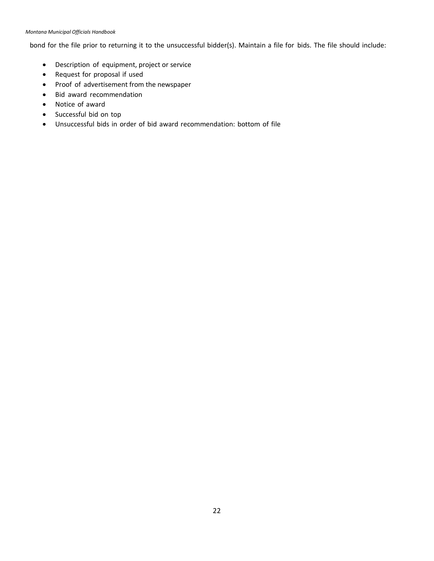#### *Montana Municipal Officials Handbook*

bond for the file prior to returning it to the unsuccessful bidder(s). Maintain a file for bids. The file should include:

- Description of equipment, project or service
- Request for proposal if used
- Proof of advertisement from the newspaper
- Bid award recommendation
- Notice of award
- Successful bid on top
- Unsuccessful bids in order of bid award recommendation: bottom of file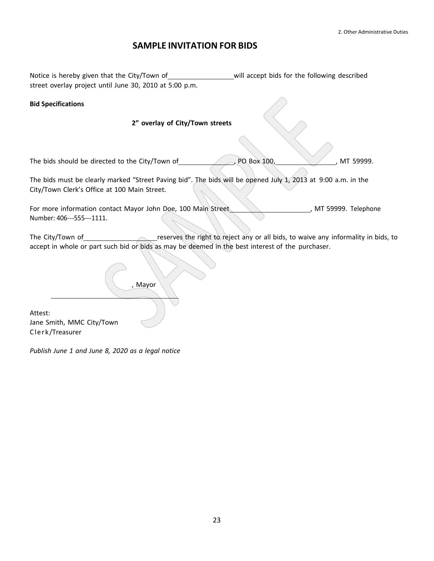## **SAMPLE INVITATION FOR BIDS**

| street overlay project until June 30, 2010 at 5:00 p.m.                                                                                                       |                                                                                    |
|---------------------------------------------------------------------------------------------------------------------------------------------------------------|------------------------------------------------------------------------------------|
| <b>Bid Specifications</b>                                                                                                                                     |                                                                                    |
| 2" overlay of City/Town streets                                                                                                                               |                                                                                    |
|                                                                                                                                                               |                                                                                    |
| The bids should be directed to the City/Town of                                                                                                               | PO Box 100,<br>MT 59999.                                                           |
| The bids must be clearly marked "Street Paving bid". The bids will be opened July 1, 2013 at 9:00 a.m. in the<br>City/Town Clerk's Office at 100 Main Street. |                                                                                    |
| For more information contact Mayor John Doe, 100 Main Street<br>Number: 406---555---1111.                                                                     | , MT 59999. Telephone                                                              |
| The City/Town of<br>accept in whole or part such bid or bids as may be deemed in the best interest of the purchaser.                                          | reserves the right to reject any or all bids, to waive any informality in bids, to |
| , Mayor                                                                                                                                                       |                                                                                    |
|                                                                                                                                                               |                                                                                    |

Attest: Jane Smith, MMC City/Town Clerk/Treasurer

*Publish June 1 and June 8, 2020 as a legal notice*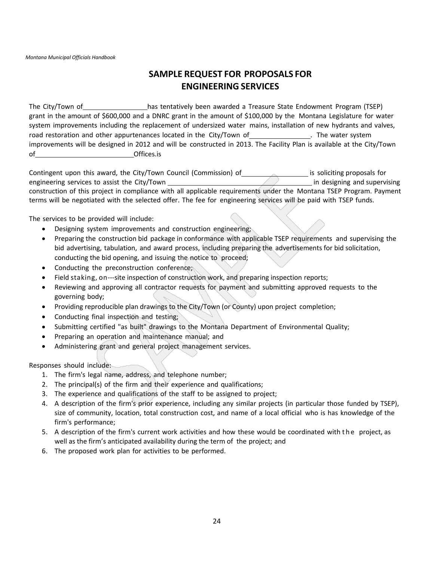## **SAMPLE REQUEST FOR PROPOSALS FOR ENGINEERING SERVICES**

The City/Town of has tentatively been awarded a Treasure State Endowment Program (TSEP) grant in the amount of \$600,000 and a DNRC grant in the amount of \$100,000 by the Montana Legislature for water system improvements including the replacement of undersized water mains, installation of new hydrants and valves, road restoration and other appurtenances located in the City/Town of \_\_\_\_\_\_\_\_\_\_\_\_\_\_\_\_. The water system improvements will be designed in 2012 and will be constructed in 2013. The Facility Plan is available at the City/Town of Offices.is

Contingent upon this award, the City/Town Council (Commission) of  $\qquad \qquad$  is soliciting proposals for engineering services to assist the City/Town in designing and supervising experience in designing and supervising construction of this project in compliance with all applicable requirements under the Montana TSEP Program. Payment terms will be negotiated with the selected offer. The fee for engineering services will be paid with TSEP funds.

The services to be provided will include:

- Designing system improvements and construction engineering;
- Preparing the construction bid package in conformance with applicable TSEP requirements and supervising the bid advertising, tabulation, and award process, including preparing the advertisements for bid solicitation, conducting the bid opening, and issuing the notice to proceed;
- Conducting the preconstruction conference;
- Field staking, on---site inspection of construction work, and preparing inspection reports;
- Reviewing and approving all contractor requests for payment and submitting approved requests to the governing body;
- Providing reproducible plan drawings to the City/Town (or County) upon project completion;
- Conducting final inspection and testing;
- Submitting certified "as built" drawings to the Montana Department of Environmental Quality;
- Preparing an operation and maintenance manual; and
- Administering grant and general project management services.

Responses should include:

- 1. The firm's legal name, address, and telephone number;
- 2. The principal(s) of the firm and their experience and qualifications;
- 3. The experience and qualifications of the staff to be assigned to project;
- 4. A description of the firm's prior experience, including any similar projects (in particular those funded by TSEP), size of community, location, total construction cost, and name of a local official who is has knowledge of the firm's performance;
- 5. A description of the firm's current work activities and how these would be coordinated with the project, as well as the firm's anticipated availability during the term of the project; and
- 6. The proposed work plan for activities to be performed.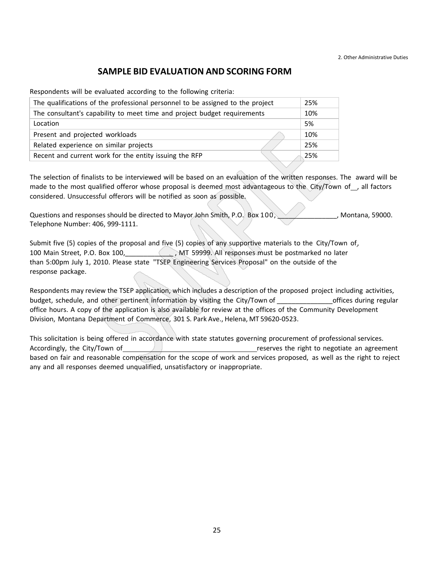## **SAMPLE BID EVALUATION AND SCORING FORM**

Respondents will be evaluated according to the following criteria:

| The qualifications of the professional personnel to be assigned to the project | 25% |
|--------------------------------------------------------------------------------|-----|
| The consultant's capability to meet time and project budget requirements       | 10% |
| Location                                                                       | 5%  |
| Present and projected workloads                                                | 10% |
| Related experience on similar projects                                         | 25% |
| Recent and current work for the entity issuing the RFP                         | 25% |
|                                                                                |     |

The selection of finalists to be interviewed will be based on an evaluation of the written responses. The award will be made to the most qualified offeror whose proposal is deemed most advantageous to the City/Town of , all factors considered. Unsuccessful offerors will be notified as soon as possible.

Questions and responses should be directed to Mayor John Smith, P.O. Box 100, Montana, Montana, 59000. Telephone Number: 406, 999-1111.

Submit five (5) copies of the proposal and five (5) copies of any supportive materials to the City/Town of, 100 Main Street, P.O. Box 100, \_\_\_\_\_\_\_\_\_\_\_\_\_\_, MT 59999. All responses must be postmarked no later than 5:00pm July 1, 2010. Please state "TSEP Engineering Services Proposal" on the outside of the response package.

Respondents may review the TSEP application, which includes a description of the proposed project including activities, budget, schedule, and other pertinent information by visiting the City/Town of \_\_\_\_\_\_\_\_\_\_\_\_\_\_\_offices during regular office hours. A copy of the application is also available for review at the offices of the Community Development Division, Montana Department of Commerce, 301 S. Park Ave., Helena, MT 59620-0523.

This solicitation is being offered in accordance with state statutes governing procurement of professional services. Accordingly, the City/Town of **1996** Accordingly, the City/Town of **reserves the right to negotiate an agreement** based on fair and reasonable compensation for the scope of work and services proposed, as well as the right to reject any and all responses deemed unqualified, unsatisfactory or inappropriate.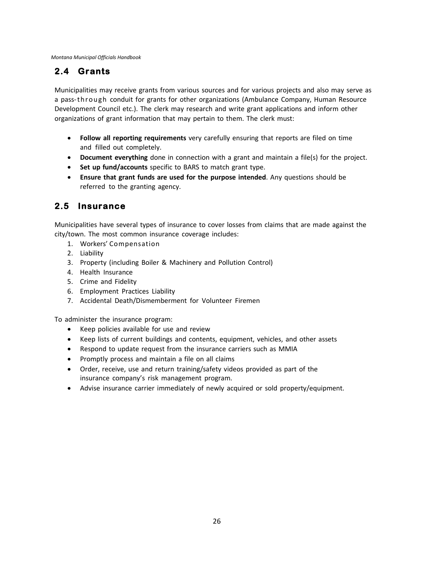*Montana Municipal Officials Handbook*

## **2.4 Grants**

Municipalities may receive grants from various sources and for various projects and also may serve as a pass-through conduit for grants for other organizations (Ambulance Company, Human Resource Development Council etc.). The clerk may research and write grant applications and inform other organizations of grant information that may pertain to them. The clerk must:

- **Follow all reporting requirements** very carefully ensuring that reports are filed on time and filled out completely.
- **Document everything** done in connection with a grant and maintain a file(s) for the project.
- **Set up fund/accounts** specific to BARS to match grant type.
- **Ensure that grant funds are used for the purpose intended**. Any questions should be referred to the granting agency.

## **2.5 Insurance**

Municipalities have several types of insurance to cover losses from claims that are made against the city/town. The most common insurance coverage includes:

- 1. Workers' Compensation
- 2. Liability
- 3. Property (including Boiler & Machinery and Pollution Control)
- 4. Health Insurance
- 5. Crime and Fidelity
- 6. Employment Practices Liability
- 7. Accidental Death/Dismemberment for Volunteer Firemen

To administer the insurance program:

- Keep policies available for use and review
- Keep lists of current buildings and contents, equipment, vehicles, and other assets
- Respond to update request from the insurance carriers such as MMIA
- Promptly process and maintain a file on all claims
- Order, receive, use and return training/safety videos provided as part of the insurance company's risk management program.
- Advise insurance carrier immediately of newly acquired or sold property/equipment.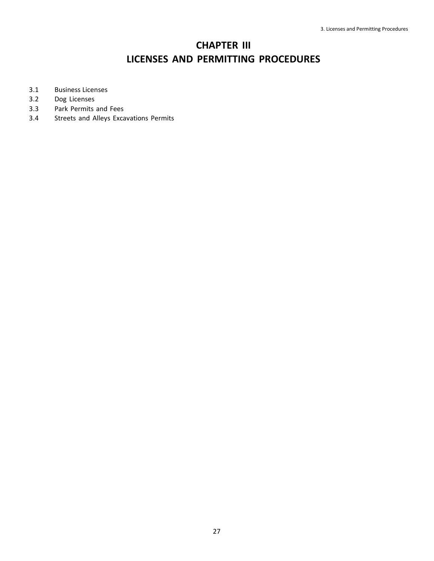# **CHAPTER III LICENSES AND PERMITTING PROCEDURES**

- 3.1 Business Licenses
- 
- 3.2 Dog Licenses<br>3.3 Park Permits Park Permits and Fees
- 3.4 Streets and Alleys Excavations Permits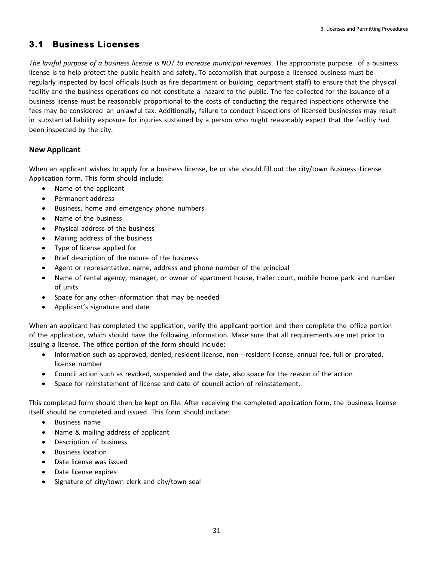## **3.1 Business Licenses**

*The lawful purpose of a business license is NOT to increase municipal revenues.* The appropriate purpose of a business license is to help protect the public health and safety. To accomplish that purpose a licensed business must be regularly inspected by local officials (such as fire department or building department staff) to ensure that the physical facility and the business operations do not constitute a hazard to the public. The fee collected for the issuance of a business license must be reasonably proportional to the costs of conducting the required inspections otherwise the fees may be considered an unlawful tax. Additionally, failure to conduct inspections of licensed businesses may result in substantial liability exposure for injuries sustained by a person who might reasonably expect that the facility had been inspected by the city.

### **New Applicant**

When an applicant wishes to apply for a business license, he or she should fill out the city/town Business License Application form. This form should include:

- Name of the applicant
- Permanent address
- Business, home and emergency phone numbers
- Name of the business
- Physical address of the business
- Mailing address of the business
- Type of license applied for
- Brief description of the nature of the business
- Agent or representative, name, address and phone number of the principal
- Name of rental agency, manager, or owner of apartment house, trailer court, mobile home park and number of units
- Space for any other information that may be needed
- Applicant's signature and date

When an applicant has completed the application, verify the applicant portion and then complete the office portion of the application, which should have the following information. Make sure that all requirements are met prior to issuing a license. The office portion of the form should include:

- Information such as approved, denied, resident license, non---resident license, annual fee, full or prorated, license number
- Council action such as revoked, suspended and the date, also space for the reason of the action
- Space for reinstatement of license and date of council action of reinstatement.

This completed form should then be kept on file. After receiving the completed application form, the business license itself should be completed and issued. This form should include:

- Business name
- Name & mailing address of applicant
- Description of business
- Business location
- Date license was issued
- Date license expires
- Signature of city/town clerk and city/town seal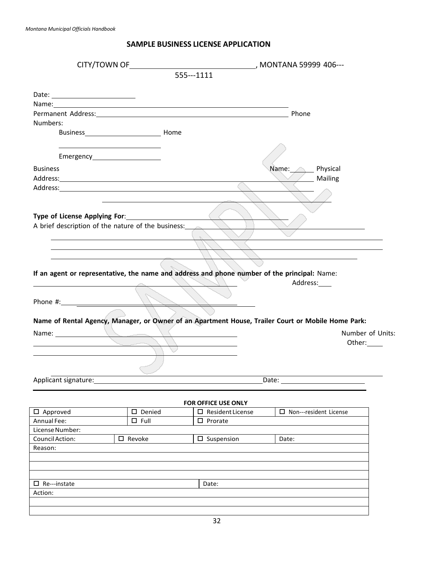### **SAMPLE BUSINESS LICENSE APPLICATION**

| Name: Name and the second contract of the second contract of the second contract of the second contract of the second contract of the second contract of the second contract of the second contract of the second contract of  |                  |                            |                                                                                                    |
|--------------------------------------------------------------------------------------------------------------------------------------------------------------------------------------------------------------------------------|------------------|----------------------------|----------------------------------------------------------------------------------------------------|
| Permanent Address: Notified a state of the state of the state of the state of the state of the state of the state of the state of the state of the state of the state of the state of the state of the state of the state of t |                  |                            |                                                                                                    |
| Numbers:                                                                                                                                                                                                                       |                  |                            |                                                                                                    |
|                                                                                                                                                                                                                                |                  |                            |                                                                                                    |
|                                                                                                                                                                                                                                |                  |                            |                                                                                                    |
| Emergency_______________________                                                                                                                                                                                               |                  |                            |                                                                                                    |
| <b>Business</b>                                                                                                                                                                                                                |                  |                            | Name: Physical                                                                                     |
| Address: Address:                                                                                                                                                                                                              |                  |                            | <b>Mailing</b>                                                                                     |
| Address: Address: Address: Address: Address: Address: Address: Address: Address: Address: Address: A                                                                                                                           |                  |                            |                                                                                                    |
|                                                                                                                                                                                                                                |                  |                            |                                                                                                    |
|                                                                                                                                                                                                                                |                  |                            |                                                                                                    |
| Type of License Applying For: 1999 1999                                                                                                                                                                                        |                  |                            |                                                                                                    |
| A brief description of the nature of the business:                                                                                                                                                                             |                  |                            |                                                                                                    |
|                                                                                                                                                                                                                                |                  | $\mathbb{R}$               |                                                                                                    |
|                                                                                                                                                                                                                                |                  |                            |                                                                                                    |
|                                                                                                                                                                                                                                |                  |                            |                                                                                                    |
|                                                                                                                                                                                                                                |                  |                            |                                                                                                    |
| If an agent or representative, the name and address and phone number of the principal: Name:                                                                                                                                   |                  |                            | Address:                                                                                           |
|                                                                                                                                                                                                                                |                  |                            |                                                                                                    |
|                                                                                                                                                                                                                                |                  |                            | Name of Rental Agency, Manager, or Owner of an Apartment House, Trailer Court or Mobile Home Park: |
|                                                                                                                                                                                                                                |                  |                            |                                                                                                    |
| Name: $\qquad \qquad$                                                                                                                                                                                                          |                  |                            | Number of Units:                                                                                   |
|                                                                                                                                                                                                                                |                  |                            | Other: $\_\_$                                                                                      |
|                                                                                                                                                                                                                                |                  |                            |                                                                                                    |
| Applicant signature:                                                                                                                                                                                                           |                  |                            | Date:                                                                                              |
|                                                                                                                                                                                                                                |                  |                            |                                                                                                    |
|                                                                                                                                                                                                                                |                  | <b>FOR OFFICE USE ONLY</b> |                                                                                                    |
| $\square$ Approved                                                                                                                                                                                                             | $\square$ Denied | $\square$ Resident License | $\square$ Non---resident License                                                                   |
| Annual Fee:                                                                                                                                                                                                                    | $\Box$ Full      | $\square$ Prorate          |                                                                                                    |
| License Number:                                                                                                                                                                                                                |                  |                            |                                                                                                    |
| Council Action:                                                                                                                                                                                                                | $\square$ Revoke | $\square$ Suspension       | Date:                                                                                              |
| Reason:                                                                                                                                                                                                                        |                  |                            |                                                                                                    |
|                                                                                                                                                                                                                                |                  |                            |                                                                                                    |
|                                                                                                                                                                                                                                |                  |                            |                                                                                                    |
|                                                                                                                                                                                                                                |                  |                            |                                                                                                    |
| $\square$ Re---instate                                                                                                                                                                                                         |                  | Date:                      |                                                                                                    |
| Action:                                                                                                                                                                                                                        |                  |                            |                                                                                                    |
|                                                                                                                                                                                                                                |                  |                            |                                                                                                    |
|                                                                                                                                                                                                                                |                  |                            |                                                                                                    |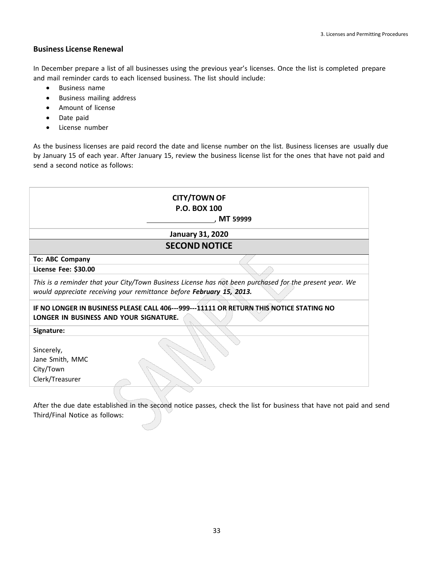#### **Business License Renewal**

In December prepare a list of all businesses using the previous year's licenses. Once the list is completed prepare and mail reminder cards to each licensed business. The list should include:

- Business name
- Business mailing address
- Amount of license
- Date paid
- License number

As the business licenses are paid record the date and license number on the list. Business licenses are usually due by January 15 of each year. After January 15, review the business license list for the ones that have not paid and send a second notice as follows:

|                                                               | <b>CITY/TOWN OF</b>                                                                                                                                                             |  |  |
|---------------------------------------------------------------|---------------------------------------------------------------------------------------------------------------------------------------------------------------------------------|--|--|
|                                                               | <b>P.O. BOX 100</b>                                                                                                                                                             |  |  |
| , MT 59999                                                    |                                                                                                                                                                                 |  |  |
|                                                               | <b>January 31, 2020</b>                                                                                                                                                         |  |  |
|                                                               | <b>SECOND NOTICE</b>                                                                                                                                                            |  |  |
| <b>To: ABC Company</b>                                        |                                                                                                                                                                                 |  |  |
| License Fee: \$30.00                                          |                                                                                                                                                                                 |  |  |
|                                                               | This is a reminder that your City/Town Business License has not been purchased for the present year. We<br>would appreciate receiving your remittance before February 15, 2013. |  |  |
|                                                               | IF NO LONGER IN BUSINESS PLEASE CALL 406---999---11111 OR RETURN THIS NOTICE STATING NO<br>LONGER IN BUSINESS AND YOUR SIGNATURE.                                               |  |  |
| Signature:                                                    |                                                                                                                                                                                 |  |  |
| Sincerely,<br>Jane Smith, MMC<br>City/Town<br>Clerk/Treasurer |                                                                                                                                                                                 |  |  |
|                                                               |                                                                                                                                                                                 |  |  |

After the due date established in the second notice passes, check the list for business that have not paid and send Third/Final Notice as follows: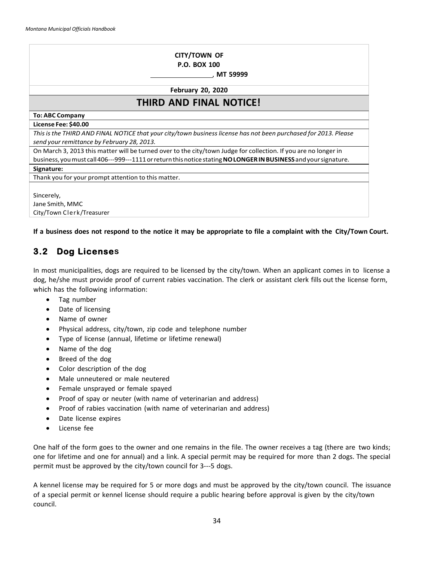#### **CITY/TOWN OF P.O. BOX 100**

, **MT 59999**

#### **February 20, 2020**

## **THIRD AND FINAL NOTICE!**

#### **To: ABC Company**

#### **License Fee: \$40.00**

*Thisisthe THIRD AND FINAL NOTICE that your city/town businesslicense has not been purchased for 2013. Please send your remittance by February 28, 2013.*

On March 3, 2013 this matter will be turned over to the city/town Judge for collection. If you are no longer in business,youmust call406---999---1111orreturnthisnoticestating**NOLONGERINBUSINESS**andyoursignature.

#### **Signature:**

Thank you for your prompt attention to this matter.

Sincerely, Jane Smith, MMC City/Town Clerk/Treasurer

If a business does not respond to the notice it may be appropriate to file a complaint with the City/Town Court.

## **3.2 Dog Licenses**

In most municipalities, dogs are required to be licensed by the city/town. When an applicant comes in to license a dog, he/she must provide proof of current rabies vaccination. The clerk or assistant clerk fills out the license form, which has the following information:

- Tag number
- Date of licensing
- Name of owner
- Physical address, city/town, zip code and telephone number
- Type of license (annual, lifetime or lifetime renewal)
- Name of the dog
- Breed of the dog
- Color description of the dog
- Male unneutered or male neutered
- Female unsprayed or female spayed
- Proof of spay or neuter (with name of veterinarian and address)
- Proof of rabies vaccination (with name of veterinarian and address)
- Date license expires
- License fee

One half of the form goes to the owner and one remains in the file. The owner receives a tag (there are two kinds; one for lifetime and one for annual) and a link. A special permit may be required for more than 2 dogs. The special permit must be approved by the city/town council for 3---5 dogs.

A kennel license may be required for 5 or more dogs and must be approved by the city/town council. The issuance of a special permit or kennel license should require a public hearing before approval is given by the city/town council.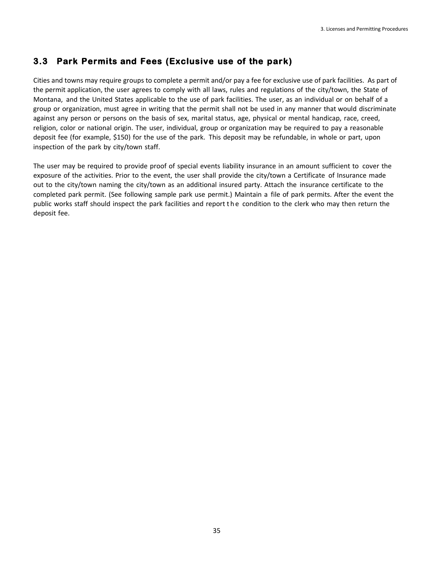## **3.3 Park Permits and Fees (Exclusive use of the park)**

Cities and towns may require groups to complete a permit and/or pay a fee for exclusive use of park facilities. As part of the permit application, the user agrees to comply with all laws, rules and regulations of the city/town, the State of Montana, and the United States applicable to the use of park facilities. The user, as an individual or on behalf of a group or organization, must agree in writing that the permit shall not be used in any manner that would discriminate against any person or persons on the basis of sex, marital status, age, physical or mental handicap, race, creed, religion, color or national origin. The user, individual, group or organization may be required to pay a reasonable deposit fee (for example, \$150) for the use of the park. This deposit may be refundable, in whole or part, upon inspection of the park by city/town staff.

The user may be required to provide proof of special events liability insurance in an amount sufficient to cover the exposure of the activities. Prior to the event, the user shall provide the city/town a Certificate of Insurance made out to the city/town naming the city/town as an additional insured party. Attach the insurance certificate to the completed park permit. (See following sample park use permit.) Maintain a file of park permits. After the event the public works staff should inspect the park facilities and report the condition to the clerk who may then return the deposit fee.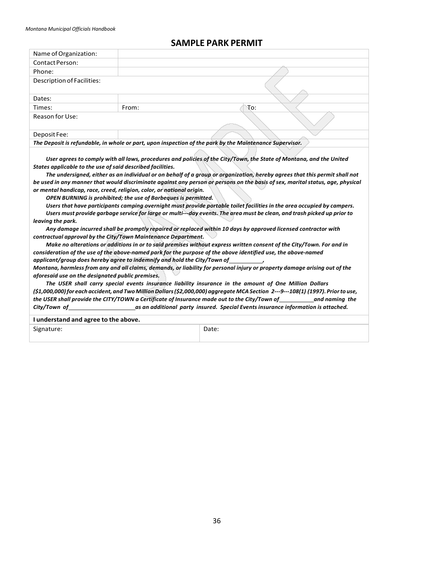## **SAMPLE PARK PERMIT**

| Name of Organization:                                                                                                                                                                                                                                                                                                                                         |       |                                                                                                                                                                                                                                                                                                                                                                                                                                                                                                                                                                                                                                                                                                                                                                                                                                                                                                                                                                                                                                                                                                                                                                                                                                              |
|---------------------------------------------------------------------------------------------------------------------------------------------------------------------------------------------------------------------------------------------------------------------------------------------------------------------------------------------------------------|-------|----------------------------------------------------------------------------------------------------------------------------------------------------------------------------------------------------------------------------------------------------------------------------------------------------------------------------------------------------------------------------------------------------------------------------------------------------------------------------------------------------------------------------------------------------------------------------------------------------------------------------------------------------------------------------------------------------------------------------------------------------------------------------------------------------------------------------------------------------------------------------------------------------------------------------------------------------------------------------------------------------------------------------------------------------------------------------------------------------------------------------------------------------------------------------------------------------------------------------------------------|
| <b>Contact Person:</b>                                                                                                                                                                                                                                                                                                                                        |       |                                                                                                                                                                                                                                                                                                                                                                                                                                                                                                                                                                                                                                                                                                                                                                                                                                                                                                                                                                                                                                                                                                                                                                                                                                              |
| Phone:                                                                                                                                                                                                                                                                                                                                                        |       |                                                                                                                                                                                                                                                                                                                                                                                                                                                                                                                                                                                                                                                                                                                                                                                                                                                                                                                                                                                                                                                                                                                                                                                                                                              |
| Description of Facilities:                                                                                                                                                                                                                                                                                                                                    |       |                                                                                                                                                                                                                                                                                                                                                                                                                                                                                                                                                                                                                                                                                                                                                                                                                                                                                                                                                                                                                                                                                                                                                                                                                                              |
| Dates:                                                                                                                                                                                                                                                                                                                                                        |       |                                                                                                                                                                                                                                                                                                                                                                                                                                                                                                                                                                                                                                                                                                                                                                                                                                                                                                                                                                                                                                                                                                                                                                                                                                              |
| Times:                                                                                                                                                                                                                                                                                                                                                        | From: | To:                                                                                                                                                                                                                                                                                                                                                                                                                                                                                                                                                                                                                                                                                                                                                                                                                                                                                                                                                                                                                                                                                                                                                                                                                                          |
| Reason for Use:                                                                                                                                                                                                                                                                                                                                               |       |                                                                                                                                                                                                                                                                                                                                                                                                                                                                                                                                                                                                                                                                                                                                                                                                                                                                                                                                                                                                                                                                                                                                                                                                                                              |
| Deposit Fee:                                                                                                                                                                                                                                                                                                                                                  |       |                                                                                                                                                                                                                                                                                                                                                                                                                                                                                                                                                                                                                                                                                                                                                                                                                                                                                                                                                                                                                                                                                                                                                                                                                                              |
|                                                                                                                                                                                                                                                                                                                                                               |       | The Deposit is refundable, in whole or part, upon inspection of the park by the Maintenance Supervisor.                                                                                                                                                                                                                                                                                                                                                                                                                                                                                                                                                                                                                                                                                                                                                                                                                                                                                                                                                                                                                                                                                                                                      |
| or mental handicap, race, creed, religion, color, or national origin.<br>OPEN BURNING is prohibited; the use of Barbeques is permitted.<br>leaving the park.<br>contractual approval by the City/Town Maintenance Department.<br>applicant/group does hereby agree to indemnify and hold the City/Town of<br>aforesaid use on the designated public premises. |       | be used in any manner that would discriminate against any person or persons on the basis of sex, marital status, age, physical<br>Users that have participants camping overnight must provide portable toilet facilities in the area occupied by campers.<br>Users must provide garbage service for large or multi->-day events. The area must be clean, and trash picked up prior to<br>Any damage incurred shall be promptly repaired or replaced within 10 days by approved licensed contractor with<br>Make no alterations or additions in or to said premises without express written consent of the City/Town. For and in<br>consideration of the use of the above-named park for the purpose of the above identified use, the above-named<br>Montana, harmless from any and all claims, demands, or liability for personal injury or property damage arising out of the<br>The USER shall carry special events insurance liability insurance in the amount of One Million Dollars<br>(\$1,000,000) for each accident, and Two Million Dollars (\$2,000,000) aggregate MCA Section 2---9---108(1) (1997). Prior to use,<br>the USER shall provide the CITY/TOWN a Certificate of Insurance made out to the City/Town of and naming the |
| City/Town of                                                                                                                                                                                                                                                                                                                                                  |       |                                                                                                                                                                                                                                                                                                                                                                                                                                                                                                                                                                                                                                                                                                                                                                                                                                                                                                                                                                                                                                                                                                                                                                                                                                              |
| I understand and agree to the above.                                                                                                                                                                                                                                                                                                                          |       |                                                                                                                                                                                                                                                                                                                                                                                                                                                                                                                                                                                                                                                                                                                                                                                                                                                                                                                                                                                                                                                                                                                                                                                                                                              |
| Signature:                                                                                                                                                                                                                                                                                                                                                    |       | Date:                                                                                                                                                                                                                                                                                                                                                                                                                                                                                                                                                                                                                                                                                                                                                                                                                                                                                                                                                                                                                                                                                                                                                                                                                                        |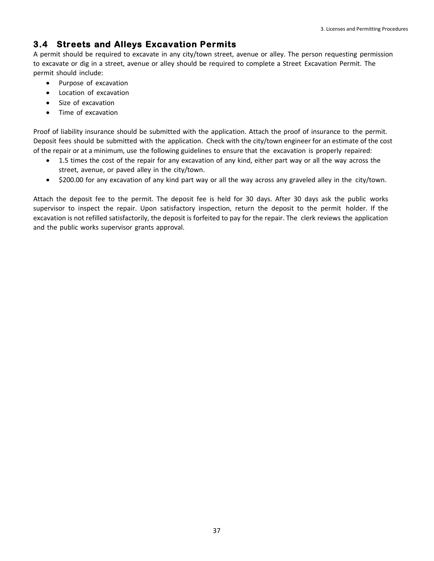## **3.4 Streets and Alleys Excavation Permits**

A permit should be required to excavate in any city/town street, avenue or alley. The person requesting permission to excavate or dig in a street, avenue or alley should be required to complete a Street Excavation Permit. The permit should include:

- Purpose of excavation
- Location of excavation
- Size of excavation
- Time of excavation

Proof of liability insurance should be submitted with the application. Attach the proof of insurance to the permit. Deposit fees should be submitted with the application. Check with the city/town engineer for an estimate of the cost of the repair or at a minimum, use the following guidelines to ensure that the excavation is properly repaired:

- 1.5 times the cost of the repair for any excavation of any kind, either part way or all the way across the street, avenue, or paved alley in the city/town.
- \$200.00 for any excavation of any kind part way or all the way across any graveled alley in the city/town.

Attach the deposit fee to the permit. The deposit fee is held for 30 days. After 30 days ask the public works supervisor to inspect the repair. Upon satisfactory inspection, return the deposit to the permit holder. If the excavation is not refilled satisfactorily, the deposit is forfeited to pay for the repair. The clerk reviews the application and the public works supervisor grants approval.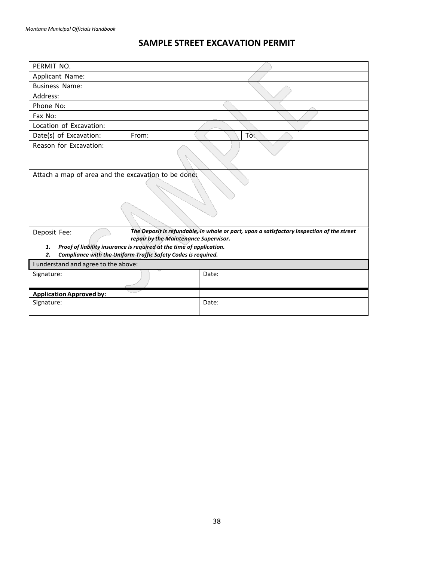## **SAMPLE STREET EXCAVATION PERMIT**

| PERMIT NO.                                                                 |                                                                                           |  |  |
|----------------------------------------------------------------------------|-------------------------------------------------------------------------------------------|--|--|
| Applicant Name:                                                            |                                                                                           |  |  |
| <b>Business Name:</b>                                                      |                                                                                           |  |  |
| Address:                                                                   |                                                                                           |  |  |
| Phone No:                                                                  |                                                                                           |  |  |
| Fax No:                                                                    |                                                                                           |  |  |
| Location of Excavation:                                                    |                                                                                           |  |  |
| Date(s) of Excavation:                                                     | Tò:<br>From:                                                                              |  |  |
| Reason for Excavation:                                                     |                                                                                           |  |  |
| Attach a map of area and the excavation to be done:                        |                                                                                           |  |  |
|                                                                            |                                                                                           |  |  |
| Deposit Fee:                                                               | The Deposit is refundable, in whole or part, upon a satisfactory inspection of the street |  |  |
|                                                                            | repair by the Maintenance Supervisor.                                                     |  |  |
| Proof of liability insurance is required at the time of application.<br>1. |                                                                                           |  |  |
| 2.                                                                         | Compliance with the Uniform Traffic Safety Codes is required.                             |  |  |
| I understand and agree to the above:                                       |                                                                                           |  |  |
| Signature:                                                                 | Date:                                                                                     |  |  |
| <b>Application Approved by:</b>                                            |                                                                                           |  |  |
| Signature:                                                                 | Date:                                                                                     |  |  |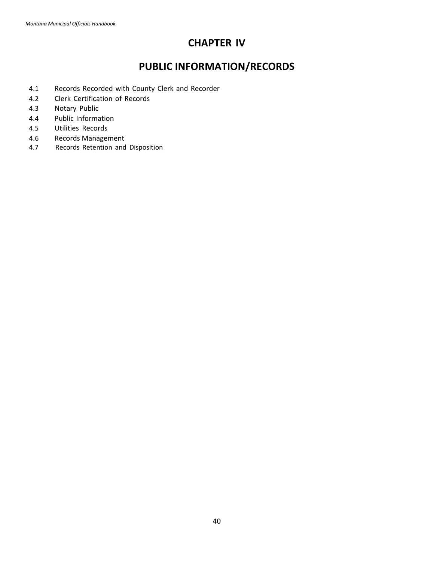# **CHAPTER IV**

# **PUBLIC INFORMATION/RECORDS**

- 4.1 Records Recorded with County Clerk and Recorder
- 4.2 Clerk Certification of Records
- 4.3 Notary Public
- 4.4 Public Information
- 4.5 Utilities Records
- 4.6 Records Management
- 4.7 Records Retention and Disposition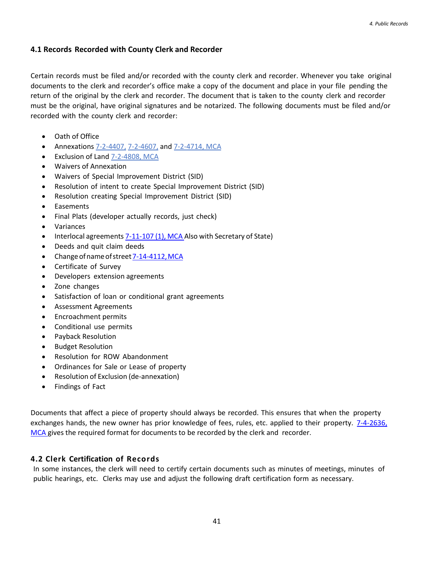#### **4.1 Records Recorded with County Clerk and Recorder**

Certain records must be filed and/or recorded with the county clerk and recorder. Whenever you take original documents to the clerk and recorder's office make a copy of the document and place in your file pending the return of the original by the clerk and recorder. The document that is taken to the county clerk and recorder must be the original, have original signatures and be notarized. The following documents must be filed and/or recorded with the county clerk and recorder:

- Oath of Office
- Annexations 7-2- $4407, 7-2-4607,$  and  $7-2-4714, MCA$
- Exclusion of Land 7-2-4808, MCA
- Waivers of Annexation
- Waivers of Special Improvement District (SID)
- Resolution of intent to create Special Improvement District (SID)
- Resolution creating Special Improvement District (SID)
- Easements
- Final Plats (developer actually records, just check)
- Variances
- Interlocal agreements 7-11-107 (1), MCA Also with Secretary of State)
- Deeds and quit claim deeds
- Change of name of street 7-14-4112, MCA
- Certificate of Survey
- Developers extension agreements
- Zone changes
- Satisfaction of loan or conditional grant agreements
- Assessment Agreements
- Encroachment permits
- Conditional use permits
- Payback Resolution
- Budget Resolution
- Resolution for ROW Abandonment
- Ordinances for Sale or Lease of property
- Resolution of Exclusion (de-annexation)
- Findings of Fact

Documents that affect a piece of property should always be recorded. This ensures that when the property exchanges hands, the new owner has prior knowledge of fees, rules, etc. applied to their property. 7-4-2636, MCA gives the required format for documents to be recorded by the clerk and recorder.

#### **4.2 Clerk Certification of Records**

In some instances, the clerk will need to certify certain documents such as minutes of meetings, minutes of public hearings, etc. Clerks may use and adjust the following draft certification form as necessary.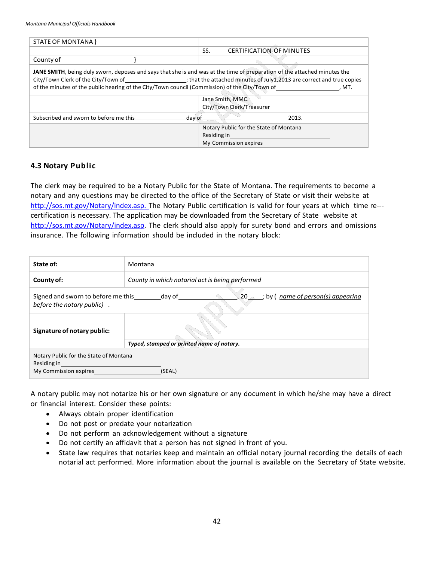| STATE OF MONTANA }                                                                                                        |                                        |  |
|---------------------------------------------------------------------------------------------------------------------------|----------------------------------------|--|
|                                                                                                                           | SS.<br><b>CERTIFICATION OF MINUTES</b> |  |
| County of                                                                                                                 |                                        |  |
| JANE SMITH, being duly sworn, deposes and says that she is and was at the time of preparation of the attached minutes the |                                        |  |
| City/Town Clerk of the City/Town of the strached minutes of July1,2013 are correct and true copies                        |                                        |  |
| of the minutes of the public hearing of the City/Town council (Commission) of the City/Town of<br>MT.                     |                                        |  |
|                                                                                                                           |                                        |  |
| Jane Smith, MMC                                                                                                           |                                        |  |
| City/Town Clerk/Treasurer                                                                                                 |                                        |  |
| Subscribed and sworn to before me this<br>dav of                                                                          | 2013.                                  |  |
|                                                                                                                           | Notary Public for the State of Montana |  |
|                                                                                                                           | Residing in                            |  |
|                                                                                                                           | My Commission expires                  |  |

#### **4.3 Notary Public**

The clerk may be required to be a Notary Public for the State of Montana. The requirements to become a notary and any questions may be directed to the office of the Secretary of State or visit their website at [http://sos.mt.gov/Notary/index.asp.](http://sos.mt.gov/Notary/index.asp) The Notary Public certification is valid for four years at which time re--certification is necessary. The application may be downloaded from the Secretary of State website at [http://sos.mt.gov/Notary/index.asp.](http://sos.mt.gov/Notary/index.asp) The clerk should also apply for surety bond and errors and omissions insurance. The following information should be included in the notary block:

| State of:                                                                                                                 | Montana                                         |  |
|---------------------------------------------------------------------------------------------------------------------------|-------------------------------------------------|--|
| County of:                                                                                                                | County in which notarial act is being performed |  |
| ; by (name of person(s) appearing<br>Signed and sworn to before me this<br>$20 -$<br>day of<br>before the notary public). |                                                 |  |
| Signature of notary public:<br>Typed, stamped or printed name of notary.                                                  |                                                 |  |
| Notary Public for the State of Montana<br>Residing in<br>(SEAL)<br>My Commission expires                                  |                                                 |  |

A notary public may not notarize his or her own signature or any document in which he/she may have a direct or financial interest. Consider these points:

- Always obtain proper identification
- Do not post or predate your notarization
- Do not perform an acknowledgement without a signature
- Do not certify an affidavit that a person has not signed in front of you.
- State law requires that notaries keep and maintain an official notary journal recording the details of each notarial act performed. More information about the journal is available on the Secretary of State website.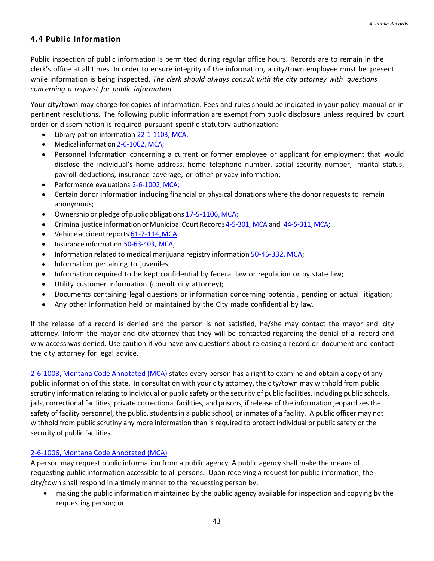#### **4.4 Public Information**

Public inspection of public information is permitted during regular office hours. Records are to remain in the clerk's office at all times. In order to ensure integrity of the information, a city/town employee must be present while information is being inspected. *The clerk should always consult with the city attorney with questions concerning a request for public information.*

Your city/town may charge for copies of information. Fees and rules should be indicated in your policy manual or in pertinent resolutions. The following public information are exempt from public disclosure unless required by court order or dissemination is required pursuant specific statutory authorization:

- Library patron information 22-1-1103, MCA;
- Medical information 2-6-1002, MCA;
- Personnel Information concerning a current or former employee or applicant for employment that would disclose the individual's home address, home telephone number, social security number, marital status, payroll deductions, insurance coverage, or other privacy information;
- Performance evaluations 2-6-1002, MCA;
- Certain donor information including financial or physical donations where the donor requests to remain anonymous;
- Ownership or pledge of public obligations 17-5-1106, MCA;
- Criminal justice information or Municipal Court Records 4-5-301, MCA and 44-5-311, MCA;
- Vehicle accident reports 61-7-114, MCA;
- Insurance information 50-63-403, MCA;
- Information related to medical marijuana registry information 50-46-332, MCA;
- Information pertaining to juveniles;
- Information required to be kept confidential by federal law or regulation or by state law;
- Utility customer information (consult city attorney);
- Documents containing legal questions or information concerning potential, pending or actual litigation;
- Any other information held or maintained by the City made confidential by law.

If the release of a record is denied and the person is not satisfied, he/she may contact the mayor and city attorney. Inform the mayor and city attorney that they will be contacted regarding the denial of a record and why access was denied. Use caution if you have any questions about releasing a record or document and contact the city attorney for legal advice.

2-6-1003, Montana Code Annotated (MCA) states every person has a right to examine and obtain a copy of any public information of this state. In consultation with your city attorney, the city/town may withhold from public scrutiny information relating to individual or public safety or the security of public facilities, including public schools, jails, correctional facilities, private correctional facilities, and prisons, if release of the information jeopardizes the safety of facility personnel, the public, students in a public school, or inmates of a facility. A public officer may not withhold from public scrutiny any more information than is required to protect individual or public safety or the security of public facilities.

#### 2-6-1006, Montana Code Annotated (MCA)

A person may request public information from a public agency. A public agency shall make the means of requesting public information accessible to all persons. Upon receiving a request for public information, the city/town shall respond in a timely manner to the requesting person by:

• making the public information maintained by the public agency available for inspection and copying by the requesting person; or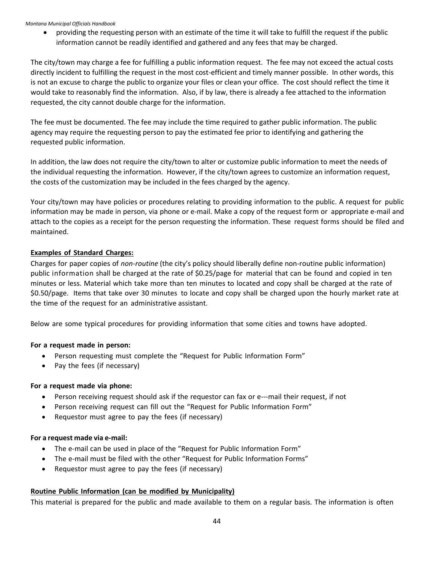#### *Montana Municipal Officials Handbook*

• providing the requesting person with an estimate of the time it will take to fulfill the request if the public information cannot be readily identified and gathered and any fees that may be charged.

The city/town may charge a fee for fulfilling a public information request. The fee may not exceed the actual costs directly incident to fulfilling the request in the most cost-efficient and timely manner possible. In other words, this is not an excuse to charge the public to organize your files or clean your office. The cost should reflect the time it would take to reasonably find the information. Also, if by law, there is already a fee attached to the information requested, the city cannot double charge for the information.

The fee must be documented. The fee may include the time required to gather public information. The public agency may require the requesting person to pay the estimated fee prior to identifying and gathering the requested public information.

In addition, the law does not require the city/town to alter or customize public information to meet the needs of the individual requesting the information. However, if the city/town agrees to customize an information request, the costs of the customization may be included in the fees charged by the agency.

Your city/town may have policies or procedures relating to providing information to the public. A request for public information may be made in person, via phone or e-mail. Make a copy of the request form or appropriate e-mail and attach to the copies as a receipt for the person requesting the information. These request forms should be filed and maintained.

#### **Examples of Standard Charges:**

Charges for paper copies of *non-routine* (the city's policy should liberally define non-routine public information) public information shall be charged at the rate of \$0.25/page for material that can be found and copied in ten minutes or less. Material which take more than ten minutes to located and copy shall be charged at the rate of \$0.50/page. Items that take over 30 minutes to locate and copy shall be charged upon the hourly market rate at the time of the request for an administrative assistant.

Below are some typical procedures for providing information that some cities and towns have adopted.

#### **For a request made in person:**

- Person requesting must complete the "Request for Public Information Form"
- Pay the fees (if necessary)

#### **For a request made via phone:**

- Person receiving request should ask if the requestor can fax or e---mail their request, if not
- Person receiving request can fill out the "Request for Public Information Form"
- Requestor must agree to pay the fees (if necessary)

#### **For a request made via e-mail:**

- The e-mail can be used in place of the "Request for Public Information Form"
- The e-mail must be filed with the other "Request for Public Information Forms"
- Requestor must agree to pay the fees (if necessary)

#### **Routine Public Information (can be modified by Municipality)**

This material is prepared for the public and made available to them on a regular basis. The information is often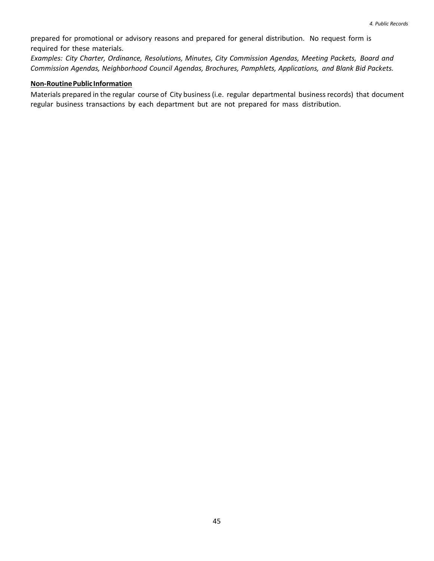prepared for promotional or advisory reasons and prepared for general distribution. No request form is required for these materials.

*Examples: City Charter, Ordinance, Resolutions, Minutes, City Commission Agendas, Meeting Packets, Board and Commission Agendas, Neighborhood Council Agendas, Brochures, Pamphlets, Applications, and Blank Bid Packets.*

#### **Non-RoutinePublicInformation**

Materials prepared in the regular course of City business (i.e. regular departmental business records) that document regular business transactions by each department but are not prepared for mass distribution.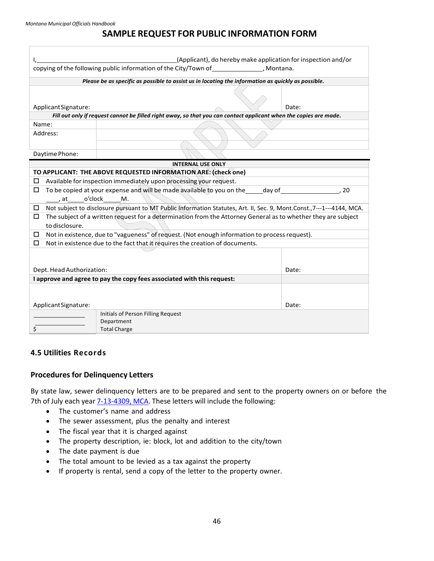## **SAMPLE REQUEST FOR PUBLIC INFORMATION FORM**

|                                    | (Applicant), do hereby make application for inspection and/or                                                          |       |  |
|------------------------------------|------------------------------------------------------------------------------------------------------------------------|-------|--|
|                                    | copying of the following public information of the City/Town of ______________, Montana.                               |       |  |
|                                    | Please be as specific as possible to assist us in locating the information as quickly as possible.                     |       |  |
|                                    |                                                                                                                        |       |  |
| ApplicantSignature:                |                                                                                                                        | Date: |  |
|                                    | Fill out only if request cannot be filled right away, so that you can contact applicant when the copies are made.      |       |  |
| Name:                              |                                                                                                                        |       |  |
| Address:                           |                                                                                                                        |       |  |
|                                    |                                                                                                                        |       |  |
| Daytime Phone:                     |                                                                                                                        |       |  |
|                                    | <b>INTERNAL USE ONLY</b>                                                                                               |       |  |
|                                    | TO APPLICANT: THE ABOVE REQUESTED INFORMATION ARE: (check one)                                                         |       |  |
| □                                  | Available for inspection immediately upon processing your request.                                                     |       |  |
| □<br>, at o'clock M.               |                                                                                                                        |       |  |
| $\Box$                             | Not subject to disclosure pursuant to MT Public Information Statutes, Art. II, Sec. 9, Mont.Const., 7---1---4144, MCA. |       |  |
| □<br>to disclosure.                | The subject of a written request for a determination from the Attorney General as to whether they are subject          |       |  |
|                                    | Not in existence, due to "vagueness" of request. (Not enough information to process request).                          |       |  |
| □                                  | Not in existence due to the fact that it requires the creation of documents.                                           |       |  |
|                                    |                                                                                                                        |       |  |
| Dept. Head Authorization:<br>Date: |                                                                                                                        |       |  |
|                                    | I approve and agree to pay the copy fees associated with this request:                                                 |       |  |
|                                    |                                                                                                                        |       |  |
| Applicant Signature:               |                                                                                                                        | Date: |  |
|                                    | Initials of Person Filling Request                                                                                     |       |  |
|                                    | Department                                                                                                             |       |  |
| \$                                 | <b>Total Charge</b>                                                                                                    |       |  |

#### **4.5 Utilities Records**

#### **Procedures for Delinquency Letters**

By state law, sewer delinquency letters are to be prepared and sent to the property owners on or before the 7th of July each year  $7-13-4309$ , MCA. These letters will include the following:

- The customer's name and address
- The sewer assessment, plus the penalty and interest
- The fiscal year that it is charged against
- The property description, ie: block, lot and addition to the city/town
- The date payment is due
- The total amount to be levied as a tax against the property
- If property is rental, send a copy of the letter to the property owner.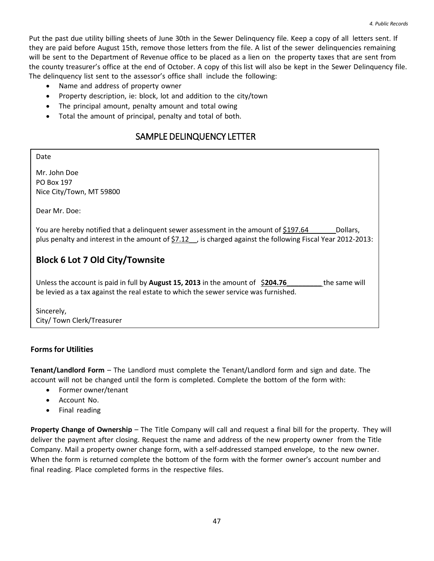Put the past due utility billing sheets of June 30th in the Sewer Delinquency file. Keep a copy of all letters sent. If they are paid before August 15th, remove those letters from the file. A list of the sewer delinquencies remaining will be sent to the Department of Revenue office to be placed as a lien on the property taxes that are sent from the county treasurer's office at the end of October. A copy of this list will also be kept in the Sewer Delinquency file. The delinquency list sent to the assessor's office shall include the following:

- Name and address of property owner
- Property description, ie: block, lot and addition to the city/town
- The principal amount, penalty amount and total owing
- Total the amount of principal, penalty and total of both.

## SAMPLE DELINQUENCY LETTER

### Date

Mr. John Doe PO Box 197 Nice City/Town, MT 59800

Dear Mr. Doe:

You are hereby notified that a delinquent sewer assessment in the amount of \$197.64 Dollars, plus penalty and interest in the amount of \$7.12\_\_, is charged against the following Fiscal Year 2012-2013:

## **Block 6 Lot 7 Old City/Townsite**

Unless the account is paid in full by **August 15, 2013** in the amount of  $\frac{\text{S204.76}}{204.76}$  the same will be levied as a tax against the real estate to which the sewer service was furnished.

Sincerely, City/ Town Clerk/Treasurer

### **Forms for Utilities**

**Tenant/Landlord Form** – The Landlord must complete the Tenant/Landlord form and sign and date. The account will not be changed until the form is completed. Complete the bottom of the form with:

- Former owner/tenant
- Account No.
- Final reading

**Property Change of Ownership** – The Title Company will call and request a final bill for the property. They will deliver the payment after closing. Request the name and address of the new property owner from the Title Company. Mail a property owner change form, with a self-addressed stamped envelope, to the new owner. When the form is returned complete the bottom of the form with the former owner's account number and final reading. Place completed forms in the respective files.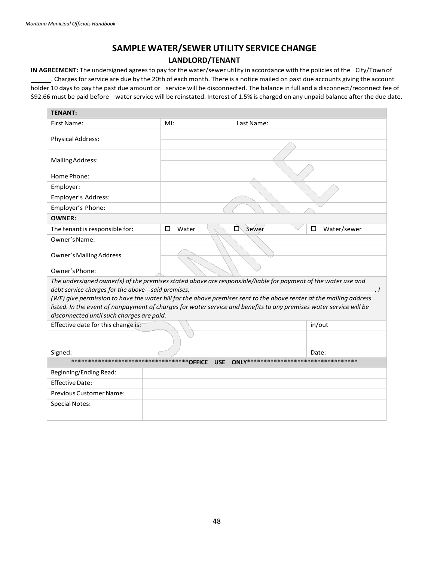## **SAMPLE WATER/SEWER UTILITY SERVICE CHANGE LANDLORD/TENANT**

IN AGREEMENT: The undersigned agrees to pay for the water/sewer utility in accordance with the policies of the City/Town of . Charges for service are due by the 20th of each month. There is a notice mailed on past due accounts giving the account holder 10 days to pay the past due amount or service will be disconnected. The balance in full and a disconnect/reconnect fee of \$92.66 must be paid before waterservice will be reinstated. Interest of 1.5% is charged on any unpaid balance after the due date.

| <b>TENANT:</b>                                                                                                                                                  |                   |            |                  |
|-----------------------------------------------------------------------------------------------------------------------------------------------------------------|-------------------|------------|------------------|
| First Name:                                                                                                                                                     | Ml:<br>Last Name: |            |                  |
|                                                                                                                                                                 |                   |            |                  |
| Physical Address:                                                                                                                                               |                   |            |                  |
|                                                                                                                                                                 |                   |            |                  |
| Mailing Address:                                                                                                                                                |                   |            |                  |
| Home Phone:                                                                                                                                                     |                   |            |                  |
| Employer:                                                                                                                                                       |                   |            |                  |
| Employer's Address:                                                                                                                                             |                   |            |                  |
| Employer's Phone:                                                                                                                                               |                   |            |                  |
| <b>OWNER:</b>                                                                                                                                                   |                   |            |                  |
| The tenant is responsible for:                                                                                                                                  | □<br>Water        | □<br>Sewer | Water/sewer<br>□ |
| Owner's Name:                                                                                                                                                   |                   |            |                  |
| <b>Owner's Mailing Address</b>                                                                                                                                  |                   |            |                  |
|                                                                                                                                                                 |                   |            |                  |
| Owner's Phone:                                                                                                                                                  |                   |            |                  |
| The undersigned owner(s) of the premises stated above are responsible/liable for payment of the water use and                                                   |                   |            |                  |
| debt service charges for the above---said premises,                                                                                                             |                   |            |                  |
| (WE) give permission to have the water bill for the above premises sent to the above renter at the mailing address                                              |                   |            |                  |
| listed. In the event of nonpayment of charges for water service and benefits to any premises water service will be<br>disconnected until such charges are paid. |                   |            |                  |
| Effective date for this change is:<br>in/out                                                                                                                    |                   |            |                  |
|                                                                                                                                                                 |                   |            |                  |
|                                                                                                                                                                 |                   |            |                  |
| Signed:<br>Date:                                                                                                                                                |                   |            |                  |
| **********************<br>************************<br>**************OFFICE<br><b>USE</b><br>$ONLY******$                                                        |                   |            |                  |
| Beginning/Ending Read:                                                                                                                                          |                   |            |                  |
| <b>Effective Date:</b>                                                                                                                                          |                   |            |                  |
| <b>Previous Customer Name:</b>                                                                                                                                  |                   |            |                  |
| <b>Special Notes:</b>                                                                                                                                           |                   |            |                  |
|                                                                                                                                                                 |                   |            |                  |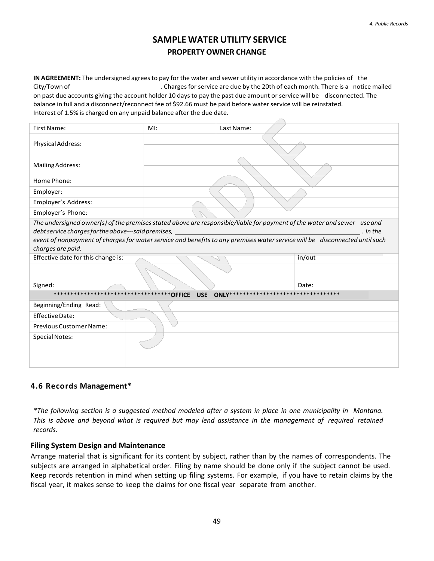### **SAMPLE WATER UTILITY SERVICE PROPERTY OWNER CHANGE**

**IN AGREEMENT:** The undersigned agrees to pay for the water and sewer utility in accordance with the policies of the City/Town of **. Charges for service are due by the 20th of each month.** There is a notice mailed on past due accounts giving the account holder 10 daysto pay the past due amount or service will be disconnected. The balance in full and a disconnect/reconnect fee of \$92.66 must be paid before water service will be reinstated. Interest of 1.5% is charged on any unpaid balance after the due date.

 $\mathcal{L}^{\alpha_{\mathbf{L}}}$ 

| <b>First Name:</b>                                                                                                          | $MI$ :     | Last Name: |                          |  |
|-----------------------------------------------------------------------------------------------------------------------------|------------|------------|--------------------------|--|
|                                                                                                                             |            |            |                          |  |
| Physical Address:                                                                                                           |            |            |                          |  |
| Mailing Address:                                                                                                            |            |            |                          |  |
|                                                                                                                             |            |            |                          |  |
| Home Phone:                                                                                                                 |            |            |                          |  |
| Employer:                                                                                                                   |            |            |                          |  |
| Employer's Address:                                                                                                         |            |            |                          |  |
| Employer's Phone:                                                                                                           |            |            |                          |  |
| The undersigned owner(s) of the premises stated above are responsible/liable for payment of the water and sewer use and     |            |            |                          |  |
| debt service charges for the above---said premises,                                                                         |            |            | . In the                 |  |
| event of nonpayment of charges for water service and benefits to any premises water service will be disconnected until such |            |            |                          |  |
| charges are paid.                                                                                                           |            |            |                          |  |
| Effective date for this change is:                                                                                          |            |            | in/out                   |  |
|                                                                                                                             |            |            |                          |  |
| Signed:                                                                                                                     |            |            | Date:                    |  |
| ************************************OFFICE                                                                                  | <b>USE</b> | $ONLY***$  | ************************ |  |
| Beginning/Ending Read:                                                                                                      |            |            |                          |  |
| <b>Effective Date:</b>                                                                                                      |            |            |                          |  |
| <b>Previous Customer Name:</b>                                                                                              |            |            |                          |  |
| <b>Special Notes:</b>                                                                                                       |            |            |                          |  |
|                                                                                                                             |            |            |                          |  |
|                                                                                                                             |            |            |                          |  |
|                                                                                                                             |            |            |                          |  |

#### **4.6 Records Management\***

\*The following section is a suggested method modeled after a system in place in one municipality in Montana. This is above and beyond what is required but may lend assistance in the management of required retained *records.*

#### **Filing System Design and Maintenance**

Arrange material that is significant for its content by subject, rather than by the names of correspondents. The subjects are arranged in alphabetical order. Filing by name should be done only if the subject cannot be used. Keep records retention in mind when setting up filing systems. For example, if you have to retain claims by the fiscal year, it makes sense to keep the claims for one fiscal year separate from another.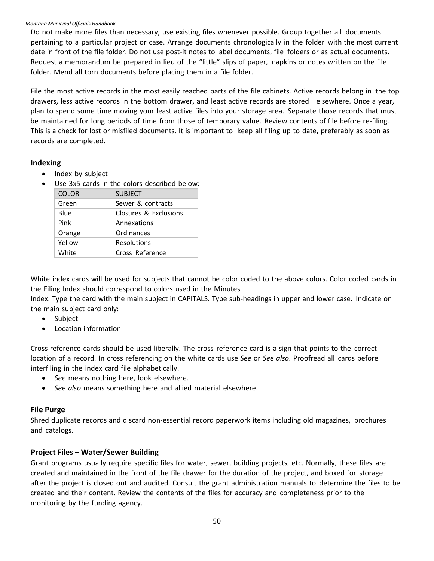#### *Montana Municipal Officials Handbook*

Do not make more files than necessary, use existing files whenever possible. Group together all documents pertaining to a particular project or case. Arrange documents chronologically in the folder with the most current date in front of the file folder. Do not use post-it notes to label documents, file folders or as actual documents. Request a memorandum be prepared in lieu of the "little" slips of paper, napkins or notes written on the file folder. Mend all torn documents before placing them in a file folder.

File the most active records in the most easily reached parts of the file cabinets. Active records belong in the top drawers, less active records in the bottom drawer, and least active records are stored elsewhere. Once a year, plan to spend some time moving your least active files into your storage area. Separate those records that must be maintained for long periods of time from those of temporary value. Review contents of file before re-filing. This is a check for lost or misfiled documents. It is important to keep all filing up to date, preferably as soon as records are completed.

#### **Indexing**

- Index by subject
- Use 3x5 cards in the colors described below:

| <b>COLOR</b> | <b>SUBJECT</b>        |
|--------------|-----------------------|
| Green        | Sewer & contracts     |
| Blue         | Closures & Exclusions |
| Pink         | Annexations           |
| Orange       | Ordinances            |
| Yellow       | <b>Resolutions</b>    |
| White        | Cross Reference       |
|              |                       |

White index cards will be used for subjects that cannot be color coded to the above colors. Color coded cards in the Filing Index should correspond to colors used in the Minutes

Index. Type the card with the main subject in CAPITALS. Type sub-headings in upper and lower case. Indicate on the main subject card only:

- Subject
- Location information

Cross reference cards should be used liberally. The cross-reference card is a sign that points to the correct location of a record. In cross referencing on the white cards use *See* or *See also*. Proofread all cards before interfiling in the index card file alphabetically.

- *See* means nothing here, look elsewhere.
- *See also* means something here and allied material elsewhere.

#### **File Purge**

Shred duplicate records and discard non-essential record paperwork items including old magazines, brochures and catalogs.

#### **Project Files – Water/Sewer Building**

Grant programs usually require specific files for water, sewer, building projects, etc. Normally, these files are created and maintained in the front of the file drawer for the duration of the project, and boxed for storage after the project is closed out and audited. Consult the grant administration manuals to determine the files to be created and their content. Review the contents of the files for accuracy and completeness prior to the monitoring by the funding agency.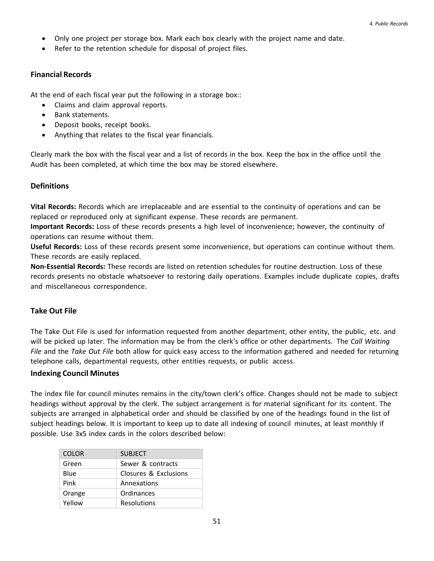- Only one project per storage box. Mark each box clearly with the project name and date.
- Refer to the retention schedule for disposal of project files.

#### **Financial Records**

At the end of each fiscal year put the following in a storage box::

- Claims and claim approval reports.
- Bank statements.
- Deposit books, receipt books.
- Anything that relates to the fiscal year financials.

Clearly mark the box with the fiscal year and a list of records in the box. Keep the box in the office until the Audit has been completed, at which time the box may be stored elsewhere.

#### **Definitions**

**Vital Records:** Records which are irreplaceable and are essential to the continuity of operations and can be replaced or reproduced only at significant expense. These records are permanent.

**Important Records:** Loss of these records presents a high level of inconvenience; however, the continuity of operations can resume without them.

**Useful Records:** Loss of these records present some inconvenience, but operations can continue without them. These records are easily replaced.

**Non-Essential Records:** These records are listed on retention schedules for routine destruction. Loss of these records presents no obstacle whatsoever to restoring daily operations. Examples include duplicate copies, drafts and miscellaneous correspondence.

#### **Take Out File**

The Take Out File is used for information requested from another department, other entity, the public, etc. and will be picked up later. The information may be from the clerk's office or other departments. The *Call Waiting File* and the *Take Out File* both allow for quick easy access to the information gathered and needed for returning telephone calls, departmental requests, other entities requests, or public access.

#### **Indexing Council Minutes**

The index file for council minutes remains in the city/town clerk's office. Changes should not be made to subject headings without approval by the clerk. The subject arrangement is for material significant for its content. The subjects are arranged in alphabetical order and should be classified by one of the headings found in the list of subject headings below. It is important to keep up to date all indexing of council minutes, at least monthly if possible. Use 3x5 index cards in the colors described below:

| <b>COLOR</b> | <b>SUBJECT</b>        |
|--------------|-----------------------|
| Green        | Sewer & contracts     |
| Blue         | Closures & Exclusions |
| Pink         | Annexations           |
| Orange       | Ordinances            |
| Yellow       | <b>Resolutions</b>    |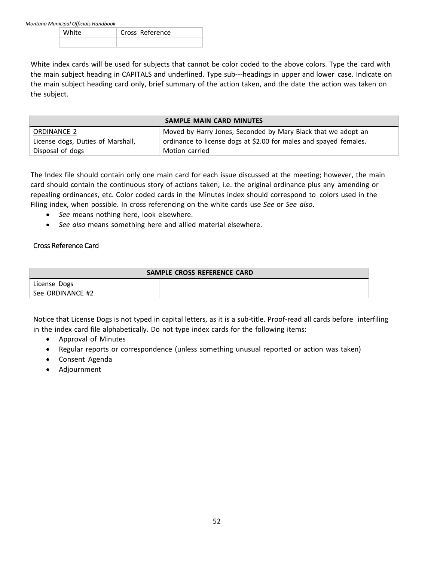*Montana Municipal Officials Handbook*

| Cross Reference |
|-----------------|
|                 |

White index cards will be used for subjects that cannot be color coded to the above colors. Type the card with the main subject heading in CAPITALS and underlined. Type sub---headings in upper and lower case. Indicate on the main subject heading card only, brief summary of the action taken, and the date the action was taken on the subject.

| SAMPLE MAIN CARD MINUTES          |                                                                   |  |
|-----------------------------------|-------------------------------------------------------------------|--|
| ORDINANCE 2                       | Moved by Harry Jones, Seconded by Mary Black that we adopt an     |  |
| License dogs, Duties of Marshall, | ordinance to license dogs at \$2.00 for males and spayed females. |  |
| Disposal of dogs                  | Motion carried                                                    |  |

The Index file should contain only one main card for each issue discussed at the meeting; however, the main card should contain the continuous story of actions taken; i.e. the original ordinance plus any amending or repealing ordinances, etc. Color coded cards in the Minutes index should correspond to colors used in the Filing index, when possible. In cross referencing on the white cards use *See* or *See also*.

- *See* means nothing here, look elsewhere.
- *See also* means something here and allied material elsewhere.

#### Cross Reference Card

| SAMPLE CROSS REFERENCE CARD |  |  |
|-----------------------------|--|--|
| License Dogs                |  |  |
| See ORDINANCE #2            |  |  |

Notice that License Dogs is not typed in capital letters, as it is a sub-title. Proof-read all cards before interfiling in the index card file alphabetically. Do not type index cards for the following items:

- Approval of Minutes
- Regular reports or correspondence (unless something unusual reported or action was taken)
- Consent Agenda
- Adjournment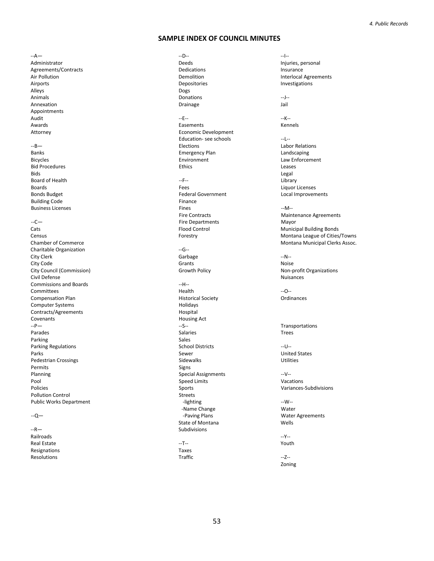#### **SAMPLE INDEX OF COUNCIL MINUTES**

--A— --D-- --I-- Administrator **Administrator** Christianus Christianus Deeds **Influries, personal** Deeds and Deeds and Deeds and Deeds and Deeds and Deeds and Deeds and Deeds and Deeds and Deeds and Deeds and Deeds and Deeds and Deeds and Agreements/Contracts Airports Depositories Investigations Alleys Dogs **Dogs** Animals Donations --J-- Annexation and Drainage and Drainage and Drainage and Drainage and Drainage and Drainage and Drainage and Drainage and Drainage and Drainage and Drainage and Drainage and Drainage and Drainage and Drainage and Drainage and Appointments Audit --E-- --K--

Bids Legal Building Code Finance

Cats **Flood Control Municipal Building Bonds** Flood Control Cats Chamber of Commerce **Montana Municipal Clerks Assoc.**<br>Charitable Organization **Montana Municipal Clerks Assoc.** Charitable Organization **Charitable Organization** --G--<br>City Clerk Garbage City Clerk Garbage --N-- City Code Grants Noise City Council (Commission) and Commission City Council (Commission) and Commission City Council (Commission) Civil Defense Nuisances Commissions and Boards --H-- Committees Health --O-- Compensation Plan **Computer Compensation Plan** Historical Society **Ordinances** Ordinances Computer Systems **Holidays** Contracts/Agreements Hospital Covenants **Housing Act** --P— --S-- Transportations Parades and the contract of the contract of the Salaries of the Salaries of the Contract of the Contract of the Salaries of the Contract of the Contract of the Contract of the Contract of the Contract of the Contract of th Parking<br>
Parking Regulations<br>
Parking Regulations Parking Regulations and the settlement of the School Districts and the settlement of the School Districts of the School Districts of the School Districts of the School Districts of the School Districts of the School Distri Parks The Community of the Community Sewer Sewer Sewer Assessment of the United States Pedestrian Crossings **Sidewalks** Sidewalks **Sidewalks** Utilities Permits Signs Signs Signs Signs Signs Signs Signs Signs Signs Signs Signs Signs Signs Signs Signs Signs Signs Signs Signs Signs Signs Signs Signs Signs Signs Signs Signs Signs Signs Signs Signs Signs Signs Signs Signs Sign Pool **Speed Limits** Speed Limits **Speed Limits** Vacations Policies Sports Sports Sports Sports Sports Variances-Subdivisions and the Streets Sports Subdivisions Pollution Control and Streets Subdivisions Streets Subdivisions Streets Subdivisions Streets Subdivisions Streets Subdi Pollution Control Public Works Department  $-$ W--W-- $\frac{1}{2}$  and  $\frac{1}{2}$  and  $\frac{1}{2}$  and  $\frac{1}{2}$  and  $\frac{1}{2}$  and  $\frac{1}{2}$  and  $\frac{1}{2}$  and  $\frac{1}{2}$  and  $\frac{1}{2}$  and  $\frac{1}{2}$  and  $\frac{1}{2}$  and  $\frac{1}{2}$  and  $\frac{1}{2}$  and  $\frac{1}{2$ 

Real Estate --T-- Youth Resignations **Taxes**<br>Resolutions **Taxes**<br>Traffic Resolutions Traffic --Z--

Awards **Easements** Easements **Easements** Communications are the extended as the extended of the extended and the extended of the extended and the extended of the extended and the extended and the extended and the extended Attorney **Attorney Economic Development** Education- see schools --L-- --B— Elections Labor Relations Banks Emergency Plan Communication Canadiac Emergency Plan Canadiac Landscaping Communication Canadiac Emergency Plan Canadiac Law Enforcer Bid Procedures **Ethics** Ethics **Example 2018** 2019 12:38:49 Leases

Board of Health السلطة المستخدم المستخدم المستخدم المستخدم المستخدم المستخدم المستخدم المستخدم المستخدم المستخ<br>Boards المستخدم المستخدم المستخدم المستخدم المستخدم المستخدم المستخدم المستخدم المستخدم المستخدم المستخدم المس Fees **Fees** Liquor Licenses Bonds Budget **Federal Government** Engine Local Improvements Business Licenses **Fines** Fines Fines **--M--**<br>Fire Contracts **Fines** Fines **Fines** --C— Fire Departments Mayor Mayor And The Mayor Service of the Mayor Service of the Mayor Service of the Mayor

Special Assignments --V---Name Change Water --Q— -Paving Plans Water Agreements State of Montana Wells --R— Subdivisions Railroads --Y--

Air Pollution **Interlocal Agreements Demolition Demolition Demolition Interlocal Agreements** 

Law Enforcement

**Maintenance Agreements** Census Forestry Montana League of Cities/Towns

Zoning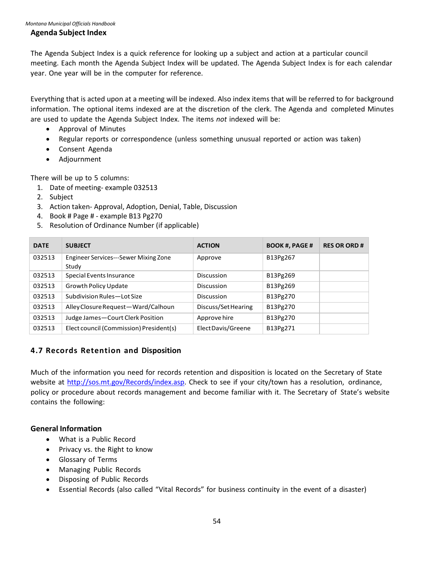**Agenda Subject Index**

The Agenda Subject Index is a quick reference for looking up a subject and action at a particular council meeting. Each month the Agenda Subject Index will be updated. The Agenda Subject Index is for each calendar year. One year will be in the computer for reference.

Everything that is acted upon at a meeting will be indexed. Also index items that will be referred to for background information. The optional items indexed are at the discretion of the clerk. The Agenda and completed Minutes are used to update the Agenda Subject Index. The items *not* indexed will be:

- Approval of Minutes
- Regular reports or correspondence (unless something unusual reported or action was taken)
- Consent Agenda
- Adjournment

There will be up to 5 columns:

- 1. Date of meeting- example 032513
- 2. Subject
- 3. Action taken- Approval, Adoption, Denial, Table, Discussion
- 4. Book # Page # example B13 Pg270
- 5. Resolution of Ordinance Number (if applicable)

| <b>DATE</b> | <b>SUBJECT</b>                                 | <b>ACTION</b>       | <b>BOOK #, PAGE #</b> | <b>RES OR ORD #</b> |
|-------------|------------------------------------------------|---------------------|-----------------------|---------------------|
| 032513      | Engineer Services---Sewer Mixing Zone<br>Study | Approve             | B13Pg267              |                     |
| 032513      | Special Events Insurance                       | Discussion          | B13Pg269              |                     |
| 032513      | <b>Growth Policy Update</b>                    | <b>Discussion</b>   | B13Pg269              |                     |
| 032513      | Subdivision Rules-Lot Size                     | <b>Discussion</b>   | B13Pg270              |                     |
| 032513      | Alley Closure Request - Ward/Calhoun           | Discuss/Set Hearing | B13Pg270              |                     |
| 032513      | Judge James-Court Clerk Position               | Approve hire        | B13Pg270              |                     |
| 032513      | Elect council (Commission) President(s)        | Elect Davis/Greene  | B13Pg271              |                     |

### **4.7 Records Retention and Disposition**

Much of the information you need for records retention and disposition is located on the Secretary of State website at [http://sos.mt.gov/Records/index.asp.](http://sos.mt.gov/Records/index.asp) Check to see if your city/town has a resolution, ordinance, policy or procedure about records management and become familiar with it. The Secretary of State's website contains the following:

#### **General Information**

- What is a Public Record
- Privacy vs. the Right to know
- Glossary of Terms
- Managing Public Records
- Disposing of Public Records
- Essential Records (also called "Vital Records" for business continuity in the event of a disaster)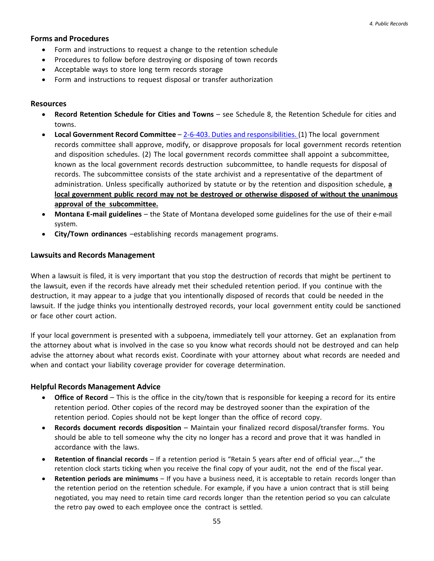#### **Forms and Procedures**

- Form and instructions to request a change to the retention schedule
- Procedures to follow before destroying or disposing of town records
- Acceptable ways to store long term records storage
- Form and instructions to request disposal or transfer authorization

#### **Resources**

- **Record Retention Schedule for Cities and Towns** see Schedule 8, the Retention Schedule for cities and towns.
- **Local Government Record Committee**  2-6-403. Duties and responsibilities. (1) The local government records committee shall approve, modify, or disapprove proposals for local government records retention and disposition schedules. (2) The local government records committee shall appoint a subcommittee, known as the local government records destruction subcommittee, to handle requests for disposal of records. The subcommittee consists of the state archivist and a representative of the department of administration. Unless specifically authorized by statute or by the retention and disposition schedule, **a local government public record may not be destroyed or otherwise disposed of without the unanimous approval of the subcommittee.**
- **Montana E-mail guidelines** the State of Montana developed some guidelines for the use of their e-mail system.
- **City/Town ordinances** –establishing records management programs.

#### **Lawsuits and Records Management**

When a lawsuit is filed, it is very important that you stop the destruction of records that might be pertinent to the lawsuit, even if the records have already met their scheduled retention period. If you continue with the destruction, it may appear to a judge that you intentionally disposed of records that could be needed in the lawsuit. If the judge thinks you intentionally destroyed records, your local government entity could be sanctioned or face other court action.

If your local government is presented with a subpoena, immediately tell your attorney. Get an explanation from the attorney about what is involved in the case so you know what records should not be destroyed and can help advise the attorney about what records exist. Coordinate with your attorney about what records are needed and when and contact your liability coverage provider for coverage determination.

#### **Helpful Records Management Advice**

- **Office of Record** This is the office in the city/town that is responsible for keeping a record for its entire retention period. Other copies of the record may be destroyed sooner than the expiration of the retention period. Copies should not be kept longer than the office of record copy.
- **Records document records disposition** Maintain your finalized record disposal/transfer forms. You should be able to tell someone why the city no longer has a record and prove that it was handled in accordance with the laws.
- **Retention of financial records** If a retention period is "Retain 5 years after end of official year…," the retention clock starts ticking when you receive the final copy of your audit, not the end of the fiscal year.
- **Retention periods are minimums** If you have a business need, it is acceptable to retain records longer than the retention period on the retention schedule. For example, if you have a union contract that is still being negotiated, you may need to retain time card records longer than the retention period so you can calculate the retro pay owed to each employee once the contract is settled.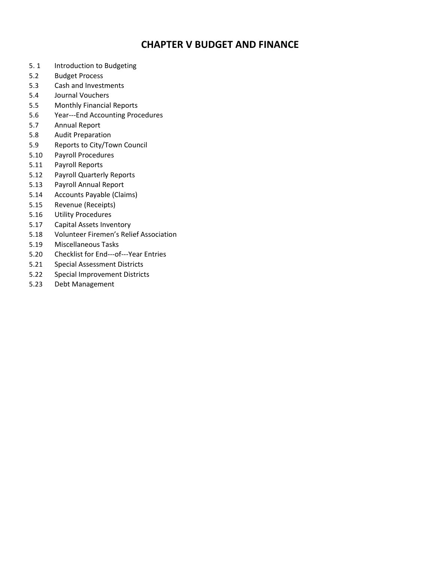## **CHAPTER V BUDGET AND FINANCE**

- 5. 1 Introduction to Budgeting
- 5.2 Budget Process
- 5.3 Cash and Investments
- 5.4 Journal Vouchers
- 5.5 Monthly Financial Reports
- 5.6 Year---End Accounting Procedures
- 5.7 Annual Report
- 5.8 Audit Preparation
- 5.9 Reports to City/Town Council
- 5.10 Payroll Procedures
- 5.11 Payroll Reports
- 5.12 Payroll Quarterly Reports
- 5.13 Payroll Annual Report
- 5.14 Accounts Payable (Claims)
- 5.15 Revenue (Receipts)
- 5.16 Utility Procedures
- 5.17 Capital Assets Inventory
- 5.18 Volunteer Firemen's Relief Association
- 5.19 Miscellaneous Tasks
- 5.20 Checklist for End---of---Year Entries
- 5.21 Special Assessment Districts
- 5.22 Special Improvement Districts
- 5.23 Debt Management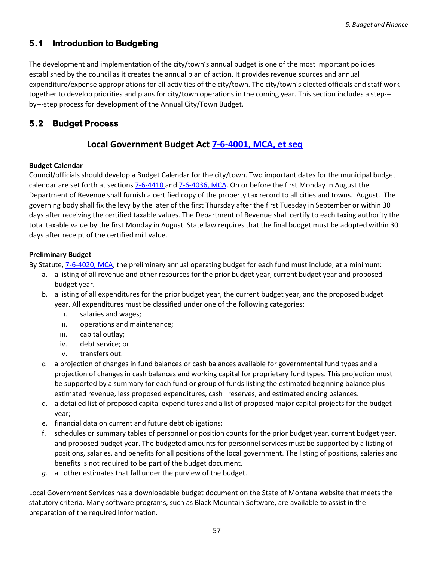## **5.1 Introduction to Budgeting**

The development and implementation of the city/town's annual budget is one of the most important policies established by the council as it creates the annual plan of action. It provides revenue sources and annual expenditure/expense appropriations for all activities of the city/town. The city/town's elected officials and staff work together to develop priorities and plans for city/town operations in the coming year. This section includes a step-- by---step process for development of the Annual City/Town Budget.

## **5.2 Budget Process**

## **Local Government Budget Act 7-6-4001, MCA, et seq**

### **Budget Calendar**

Council/officials should develop a Budget Calendar for the city/town. Two important dates for the municipal budget calendar are set forth at sections 7-6-4410 and 7-6-4036, MCA. On or before the first Monday in August the Department of Revenue shall furnish a certified copy of the property tax record to all cities and towns. August. The governing body shall fix the levy by the later of the first Thursday after the first Tuesday in September or within 30 days after receiving the certified taxable values. The Department of Revenue shall certify to each taxing authority the total taxable value by the first Monday in August. State law requires that the final budget must be adopted within 30 days after receipt of the certified mill value.

### **Preliminary Budget**

By Statute, 7-6-4020, MCA, the preliminary annual operating budget for each fund must include, at a minimum:

- a. a listing of all revenue and other resources for the prior budget year, current budget year and proposed budget year.
- b. a listing of all expenditures for the prior budget year, the current budget year, and the proposed budget year. All expenditures must be classified under one of the following categories:
	- i. salaries and wages;
	- ii. operations and maintenance;
	- iii. capital outlay;
	- iv. debt service; or
	- v. transfers out.
- c. a projection of changes in fund balances or cash balances available for governmental fund types and a projection of changes in cash balances and working capital for proprietary fund types. This projection must be supported by a summary for each fund or group of funds listing the estimated beginning balance plus estimated revenue, less proposed expenditures, cash reserves, and estimated ending balances.
- d. a detailed list of proposed capital expenditures and a list of proposed major capital projects for the budget year;
- e. financial data on current and future debt obligations;
- f. schedules or summary tables of personnel or position counts for the prior budget year, current budget year, and proposed budget year. The budgeted amounts for personnel services must be supported by a listing of positions, salaries, and benefits for all positions of the local government. The listing of positions, salaries and benefits is not required to be part of the budget document.
- *g.* all other estimates that fall under the purview of the budget.

Local Government Services has a downloadable budget document on the State of Montana website that meets the statutory criteria. Many software programs, such as Black Mountain Software, are available to assist in the preparation of the required information.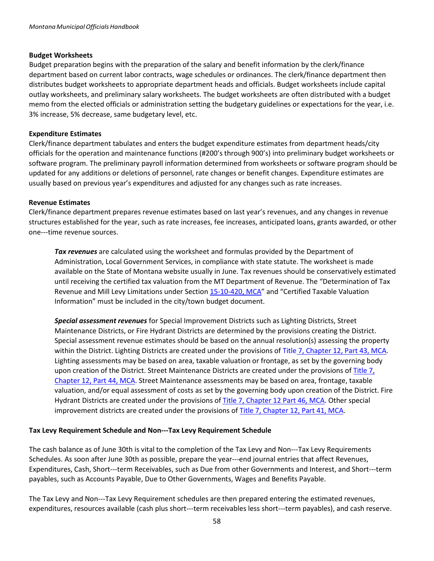#### **Budget Worksheets**

Budget preparation begins with the preparation of the salary and benefit information by the clerk/finance department based on current labor contracts, wage schedules or ordinances. The clerk/finance department then distributes budget worksheets to appropriate department heads and officials. Budget worksheets include capital outlay worksheets, and preliminary salary worksheets. The budget worksheets are often distributed with a budget memo from the elected officials or administration setting the budgetary guidelines or expectations for the year, i.e. 3% increase, 5% decrease, same budgetary level, etc.

#### **Expenditure Estimates**

Clerk/finance department tabulates and enters the budget expenditure estimates from department heads/city officials for the operation and maintenance functions (#200's through 900's) into preliminary budget worksheets or software program. The preliminary payroll information determined from worksheets or software program should be updated for any additions or deletions of personnel, rate changes or benefit changes. Expenditure estimates are usually based on previous year's expenditures and adjusted for any changes such as rate increases.

#### **Revenue Estimates**

Clerk/finance department prepares revenue estimates based on last year's revenues, and any changes in revenue structures established for the year, such as rate increases, fee increases, anticipated loans, grants awarded, or other one---time revenue sources.

*Tax revenues* are calculated using the worksheet and formulas provided by the Department of Administration, Local Government Services, in compliance with state statute. The worksheet is made available on the State of Montana website usually in June. Tax revenues should be conservatively estimated until receiving the certified tax valuation from the MT Department of Revenue. The "Determination of Tax Revenue and Mill Levy Limitations under Section 15-10-420, MCA" and "Certified Taxable Valuation Information" must be included in the city/town budget document.

*Special assessment revenues* for Special Improvement Districts such as Lighting Districts, Street Maintenance Districts, or Fire Hydrant Districts are determined by the provisions creating the District. Special assessment revenue estimates should be based on the annual resolution(s) assessing the property within the District. Lighting Districts are created under the provisions of Title 7, Chapter 12, Part 43, MCA. Lighting assessments may be based on area, taxable valuation or frontage, as set by the governing body upon creation of the District. Street Maintenance Districts are created under the provisions of Title 7, Chapter 12, Part 44, MCA. Street Maintenance assessments may be based on area, frontage, taxable valuation, and/or equal assessment of costs as set by the governing body upon creation of the District. Fire Hydrant Districts are created under the provisions of Title 7, Chapter 12 Part 46, MCA. Other special improvement districts are created under the provisions of Title 7, Chapter 12, Part 41, MCA.

#### **Tax Levy Requirement Schedule and Non---Tax Levy Requirement Schedule**

The cash balance as of June 30th is vital to the completion of the Tax Levy and Non---Tax Levy Requirements Schedules. As soon after June 30th as possible, prepare the year---end journal entries that affect Revenues, Expenditures, Cash, Short---term Receivables, such as Due from other Governments and Interest, and Short---term payables, such as Accounts Payable, Due to Other Governments, Wages and Benefits Payable.

The Tax Levy and Non---Tax Levy Requirement schedules are then prepared entering the estimated revenues, expenditures, resources available (cash plus short---term receivables less short---term payables), and cash reserve.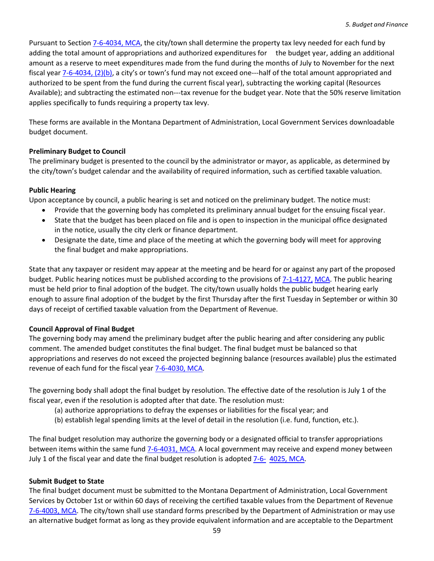Pursuant to Section 7-6-4034, MCA, the city/town shall determine the property tax levy needed for each fund by adding the total amount of appropriations and authorized expenditures for the budget year, adding an additional amount as a reserve to meet expenditures made from the fund during the months of July to November for the next fiscal year 7-6-4034, (2)(b), a city's or town's fund may not exceed one---half of the total amount appropriated and authorized to be spent from the fund during the current fiscal year), subtracting the working capital (Resources Available); and subtracting the estimated non---tax revenue for the budget year. Note that the 50% reserve limitation applies specifically to funds requiring a property tax levy.

These forms are available in the Montana Department of Administration, Local Government Services downloadable budget document.

#### **Preliminary Budget to Council**

The preliminary budget is presented to the council by the administrator or mayor, as applicable, as determined by the city/town's budget calendar and the availability of required information, such as certified taxable valuation.

#### **Public Hearing**

Upon acceptance by council, a public hearing is set and noticed on the preliminary budget. The notice must:

- Provide that the governing body has completed its preliminary annual budget for the ensuing fiscal year.
- State that the budget has been placed on file and is open to inspection in the municipal office designated in the notice, usually the city clerk or finance department.
- Designate the date, time and place of the meeting at which the governing body will meet for approving the final budget and make appropriations.

State that any taxpayer or resident may appear at the meeting and be heard for or against any part of the proposed budget. Public hearing notices must be published according to the provisions of 7-1-4127, MCA. The public hearing must be held prior to final adoption of the budget. The city/town usually holds the public budget hearing early enough to assure final adoption of the budget by the first Thursday after the first Tuesday in September or within 30 days of receipt of certified taxable valuation from the Department of Revenue.

#### **Council Approval of Final Budget**

The governing body may amend the preliminary budget after the public hearing and after considering any public comment. The amended budget constitutes the final budget. The final budget must be balanced so that appropriations and reserves do not exceed the projected beginning balance (resources available) plus the estimated revenue of each fund for the fiscal year 7-6-4030, MCA.

The governing body shall adopt the final budget by resolution. The effective date of the resolution is July 1 of the fiscal year, even if the resolution is adopted after that date. The resolution must:

- (a) authorize appropriations to defray the expenses or liabilities for the fiscal year; and
- (b) establish legal spending limits at the level of detail in the resolution (i.e. fund, function, etc.).

The final budget resolution may authorize the governing body or a designated official to transfer appropriations between items within the same fund 7-6-4031, MCA. A local government may receive and expend money between July 1 of the fiscal year and date the final budget resolution is adopted 7-6- 4025, MCA.

#### **Submit Budget to State**

The final budget document must be submitted to the Montana Department of Administration, Local Government Services by October 1st or within 60 days of receiving the certified taxable values from the Department of Revenue 7-6-4003, MCA. The city/town shall use standard forms prescribed by the Department of Administration or may use an alternative budget format as long as they provide equivalent information and are acceptable to the Department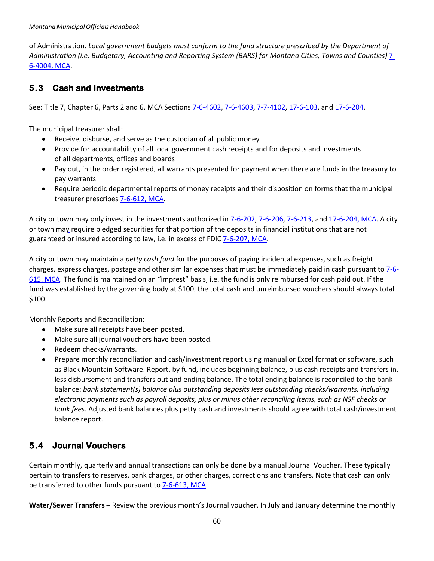of Administration. *Local government budgets must conform to the fund structure prescribed by the Department of Administration (i.e. Budgetary, Accounting and Reporting System (BARS) for Montana Cities, Towns and Counties)* 7- 6-4004, MCA.

## **5.3 Cash and Investments**

See: Title 7, Chapter 6, Parts 2 and 6, MCA Sections 7-6-4602, 7-6-4603, 7-7-4102, 17-6-103, and 17-6-204.

The municipal treasurer shall:

- Receive, disburse, and serve as the custodian of all public money
- Provide for accountability of all local government cash receipts and for deposits and investments of all departments, offices and boards
- Pay out, in the order registered, all warrants presented for payment when there are funds in the treasury to pay warrants
- Require periodic departmental reports of money receipts and their disposition on forms that the municipal treasurer prescribes 7-6-612, MCA.

A city or town may only invest in the investments authorized in 7-6-202, 7-6-206, 7-6-213, and 17-6-204, MCA. A city or town may require pledged securities for that portion of the deposits in financial institutions that are not guaranteed or insured according to law, i.e. in excess of FDIC 7-6-207, MCA.

A city or town may maintain a *petty cash fund* for the purposes of paying incidental expenses, such as freight charges, express charges, postage and other similar expenses that must be immediately paid in cash pursuant to 7-6- 615, MCA. The fund is maintained on an "imprest" basis, i.e. the fund is only reimbursed for cash paid out. If the fund was established by the governing body at \$100, the total cash and unreimbursed vouchers should always total \$100.

Monthly Reports and Reconciliation:

- Make sure all receipts have been posted.
- Make sure all journal vouchers have been posted.
- Redeem checks/warrants.
- Prepare monthly reconciliation and cash/investment report using manual or Excel format or software, such as Black Mountain Software. Report, by fund, includes beginning balance, plus cash receipts and transfers in, less disbursement and transfers out and ending balance. The total ending balance is reconciled to the bank balance: *bank statement(s) balance plus outstanding deposits less outstanding checks/warrants, including* electronic payments such as payroll deposits, plus or minus other reconciling items, such as NSF checks or *bank fees.* Adjusted bank balances plus petty cash and investments should agree with total cash/investment balance report.

## **5.4 Journal Vouchers**

Certain monthly, quarterly and annual transactions can only be done by a manual Journal Voucher. These typically pertain to transfers to reserves, bank charges, or other charges, corrections and transfers. Note that cash can only be transferred to other funds pursuant to 7-6-613, MCA.

**Water/Sewer Transfers** – Review the previous month's Journal voucher. In July and January determine the monthly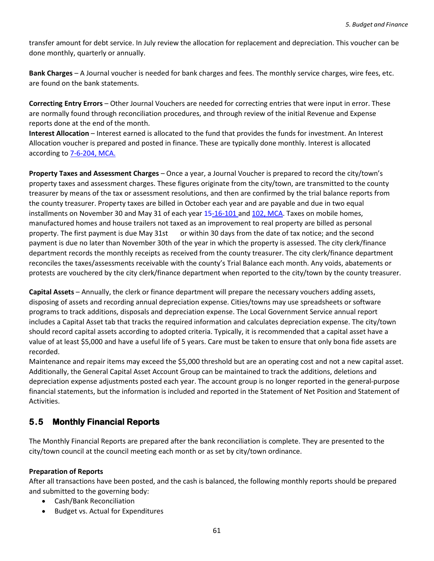transfer amount for debt service. In July review the allocation for replacement and depreciation. This voucher can be done monthly, quarterly or annually.

**Bank Charges** – A Journal voucher is needed for bank charges and fees. The monthly service charges, wire fees, etc. are found on the bank statements.

**Correcting Entry Errors** – Other Journal Vouchers are needed for correcting entries that were input in error. These are normally found through reconciliation procedures, and through review of the initial Revenue and Expense reports done at the end of the month.

**Interest Allocation** – Interest earned is allocated to the fund that provides the funds for investment. An Interest Allocation voucher is prepared and posted in finance. These are typically done monthly. Interest is allocated according to 7-6-204, MCA.

**Property Taxes and Assessment Charges** – Once a year, a Journal Voucher is prepared to record the city/town's property taxes and assessment charges. These figures originate from the city/town, are transmitted to the county treasurer by means of the tax or assessment resolutions, and then are confirmed by the trial balance reports from the county treasurer. Property taxes are billed in October each year and are payable and due in two equal installments on November 30 and May 31 of each year 15-16-101 and 102, MCA. Taxes on mobile homes, manufactured homes and house trailers not taxed as an improvement to real property are billed as personal property. The first payment is due May 31st or within 30 days from the date of tax notice; and the second payment is due no later than November 30th of the year in which the property is assessed. The city clerk/finance department records the monthly receipts as received from the county treasurer. The city clerk/finance department reconciles the taxes/assessments receivable with the county's Trial Balance each month. Any voids, abatements or protests are vouchered by the city clerk/finance department when reported to the city/town by the county treasurer.

**Capital Assets** – Annually, the clerk or finance department will prepare the necessary vouchers adding assets, disposing of assets and recording annual depreciation expense. Cities/towns may use spreadsheets or software programs to track additions, disposals and depreciation expense. The Local Government Service annual report includes a Capital Asset tab that tracks the required information and calculates depreciation expense. The city/town should record capital assets according to adopted criteria. Typically, it is recommended that a capital asset have a value of at least \$5,000 and have a useful life of 5 years. Care must be taken to ensure that only bona fide assets are recorded.

Maintenance and repair items may exceed the \$5,000 threshold but are an operating cost and not a new capital asset. Additionally, the General Capital Asset Account Group can be maintained to track the additions, deletions and depreciation expense adjustments posted each year. The account group is no longer reported in the general-purpose financial statements, but the information is included and reported in the Statement of Net Position and Statement of Activities.

### **5.5 Monthly Financial Reports**

The Monthly Financial Reports are prepared after the bank reconciliation is complete. They are presented to the city/town council at the council meeting each month or as set by city/town ordinance.

#### **Preparation of Reports**

After all transactions have been posted, and the cash is balanced, the following monthly reports should be prepared and submitted to the governing body:

- Cash/Bank Reconciliation
- Budget vs. Actual for Expenditures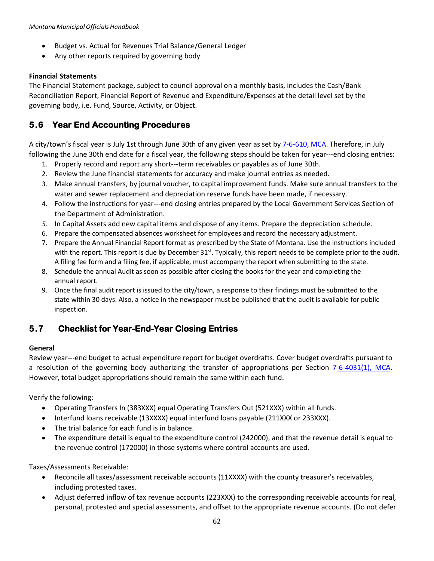- Budget vs. Actual for Revenues Trial Balance/General Ledger
- Any other reports required by governing body

#### **Financial Statements**

The Financial Statement package, subject to council approval on a monthly basis, includes the Cash/Bank Reconciliation Report, Financial Report of Revenue and Expenditure/Expenses at the detail level set by the governing body, i.e. Fund, Source, Activity, or Object.

## **5.6 Year End Accounting Procedures**

A city/town's fiscal year is July 1st through June 30th of any given year as set by 7-6-610, MCA. Therefore, in July following the June 30th end date for a fiscal year, the following steps should be taken for year---end closing entries:

- 1. Properly record and report any short---term receivables or payables as of June 30th.
- 2. Review the June financial statements for accuracy and make journal entries as needed.
- 3. Make annual transfers, by journal voucher, to capital improvement funds. Make sure annual transfers to the water and sewer replacement and depreciation reserve funds have been made, if necessary.
- 4. Follow the instructions for year---end closing entries prepared by the Local Government Services Section of the Department of Administration.
- *5.* In Capital Assets add new capital items and dispose of any items. Prepare the depreciation schedule.
- 6. Prepare the compensated absences worksheet for employees and record the necessary adjustment.
- 7. Prepare the Annual Financial Report format as prescribed by the State of Montana. Use the instructions included with the report. This report is due by December 31<sup>st</sup>. Typically, this report needs to be complete prior to the audit. A filing fee form and a filing fee, if applicable, must accompany the report when submitting to the state.
- 8. Schedule the annual Audit as soon as possible after closing the books for the year and completing the annual report.
- 9. Once the final audit report is issued to the city/town, a response to their findings must be submitted to the state within 30 days. Also, a notice in the newspaper must be published that the audit is available for public inspection.

## **5.7 Checklist for Year-End-Year Closing Entries**

#### **General**

Review year---end budget to actual expenditure report for budget overdrafts. Cover budget overdrafts pursuant to a resolution of the governing body authorizing the transfer of appropriations per Section 7-6-4031(1), MCA. However, total budget appropriations should remain the same within each fund.

Verify the following:

- Operating Transfers In (383XXX) equal Operating Transfers Out (521XXX) within all funds.
- Interfund loans receivable (13XXXX) equal interfund loans payable (211XXX or 233XXX).
- The trial balance for each fund is in balance.
- The expenditure detail is equal to the expenditure control (242000), and that the revenue detail is equal to the revenue control (172000) in those systems where control accounts are used.

Taxes/Assessments Receivable:

- Reconcile all taxes/assessment receivable accounts (11XXXX) with the county treasurer's receivables, including protested taxes.
- Adjust deferred inflow of tax revenue accounts (223XXX) to the corresponding receivable accounts for real, personal, protested and special assessments, and offset to the appropriate revenue accounts. (Do not defer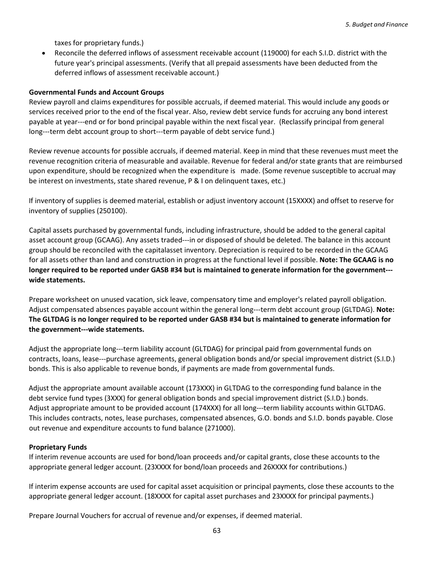taxes for proprietary funds.)

• Reconcile the deferred inflows of assessment receivable account (119000) for each S.I.D. district with the future year's principal assessments. (Verify that all prepaid assessments have been deducted from the deferred inflows of assessment receivable account.)

#### **Governmental Funds and Account Groups**

Review payroll and claims expenditures for possible accruals, if deemed material. This would include any goods or services received prior to the end of the fiscal year. Also, review debt service funds for accruing any bond interest payable at year---end or for bond principal payable within the next fiscal year. (Reclassify principal from general long---term debt account group to short---term payable of debt service fund.)

Review revenue accounts for possible accruals, if deemed material. Keep in mind that these revenues must meet the revenue recognition criteria of measurable and available. Revenue for federal and/or state grants that are reimbursed upon expenditure, should be recognized when the expenditure is made. (Some revenue susceptible to accrual may be interest on investments, state shared revenue, P & I on delinquent taxes, etc.)

If inventory of supplies is deemed material, establish or adjust inventory account (15XXXX) and offset to reserve for inventory of supplies (250100).

Capital assets purchased by governmental funds, including infrastructure, should be added to the general capital asset account group (GCAAG). Any assets traded---in or disposed of should be deleted. The balance in this account group should be reconciled with the capitalasset inventory. Depreciation is required to be recorded in the GCAAG for all assets other than land and construction in progress at the functional level if possible. **Note: The GCAAG is no** longer required to be reported under GASB #34 but is maintained to generate information for the government--**wide statements.**

Prepare worksheet on unused vacation, sick leave, compensatory time and employer's related payroll obligation. Adjust compensated absences payable account within the general long---term debt account group (GLTDAG). **Note:** The GLTDAG is no longer required to be reported under GASB #34 but is maintained to generate information for **the government---wide statements.**

Adjust the appropriate long---term liability account (GLTDAG) for principal paid from governmental funds on contracts, loans, lease---purchase agreements, general obligation bonds and/or special improvement district (S.I.D.) bonds. This is also applicable to revenue bonds, if payments are made from governmental funds.

Adjust the appropriate amount available account (173XXX) in GLTDAG to the corresponding fund balance in the debt service fund types (3XXX) for general obligation bonds and special improvement district (S.I.D.) bonds. Adjust appropriate amount to be provided account (174XXX) for all long---term liability accounts within GLTDAG. This includes contracts, notes, lease purchases, compensated absences, G.O. bonds and S.I.D. bonds payable. Close out revenue and expenditure accounts to fund balance (271000).

#### **Proprietary Funds**

If interim revenue accounts are used for bond/loan proceeds and/or capital grants, close these accounts to the appropriate general ledger account. (23XXXX for bond/loan proceeds and 26XXXX for contributions.)

If interim expense accounts are used for capital asset acquisition or principal payments, close these accounts to the appropriate general ledger account. (18XXXX for capital asset purchases and 23XXXX for principal payments.)

Prepare Journal Vouchers for accrual of revenue and/or expenses, if deemed material.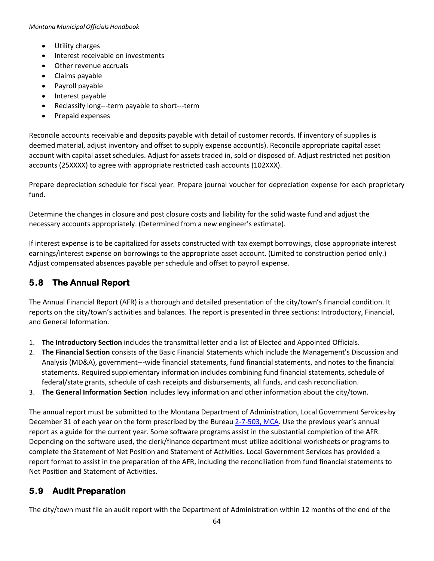- Utility charges
- Interest receivable on investments
- Other revenue accruals
- Claims payable
- Payroll payable
- Interest payable
- Reclassify long---term payable to short---term
- Prepaid expenses

Reconcile accounts receivable and deposits payable with detail of customer records. If inventory of supplies is deemed material, adjust inventory and offset to supply expense account(s). Reconcile appropriate capital asset account with capital asset schedules. Adjust for assets traded in, sold or disposed of. Adjust restricted net position accounts (25XXXX) to agree with appropriate restricted cash accounts (102XXX).

Prepare depreciation schedule for fiscal year. Prepare journal voucher for depreciation expense for each proprietary fund.

Determine the changes in closure and post closure costs and liability for the solid waste fund and adjust the necessary accounts appropriately. (Determined from a new engineer's estimate).

If interest expense is to be capitalized for assets constructed with tax exempt borrowings, close appropriate interest earnings/interest expense on borrowings to the appropriate asset account. (Limited to construction period only.) Adjust compensated absences payable per schedule and offset to payroll expense.

## **5.8 The Annual Report**

The Annual Financial Report (AFR) is a thorough and detailed presentation of the city/town's financial condition. It reports on the city/town's activities and balances. The report is presented in three sections: Introductory, Financial, and General Information.

- 1. **The Introductory Section** includes the transmittal letter and a list of Elected and Appointed Officials.
- 2. **The Financial Section** consists of the Basic Financial Statements which include the Management's Discussion and Analysis (MD&A), government---wide financial statements, fund financial statements, and notes to the financial statements. Required supplementary information includes combining fund financial statements, schedule of federal/state grants, schedule of cash receipts and disbursements, all funds, and cash reconciliation.
- 3. **The General Information Section** includes levy information and other information about the city/town.

The annual report must be submitted to the Montana Department of Administration, Local Government Services by December 31 of each year on the form prescribed by the Bureau 2-7-503, MCA. Use the previous year's annual report as a guide for the current year. Some software programs assist in the substantial completion of the AFR. Depending on the software used, the clerk/finance department must utilize additional worksheets or programs to complete the Statement of Net Position and Statement of Activities. Local Government Services has provided a report format to assist in the preparation of the AFR, including the reconciliation from fund financial statements to Net Position and Statement of Activities.

## **5.9 Audit Preparation**

The city/town must file an audit report with the Department of Administration within 12 months of the end of the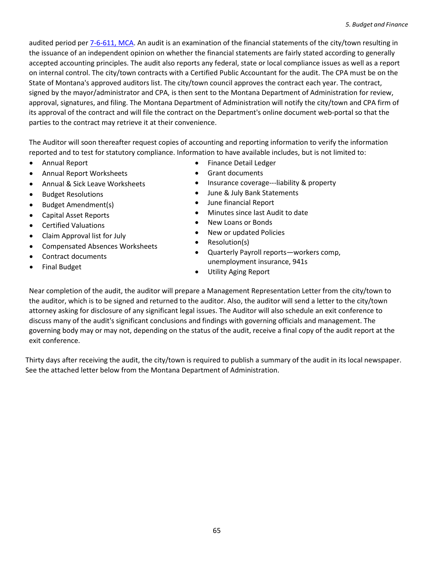audited period per 7-6-611, MCA. An audit is an examination of the financial statements of the city/town resulting in the issuance of an independent opinion on whether the financial statements are fairly stated according to generally accepted accounting principles. The audit also reports any federal, state or local compliance issues as well as a report on internal control. The city/town contracts with a Certified Public Accountant for the audit. The CPA must be on the State of Montana's approved auditors list. The city/town council approves the contract each year. The contract, signed by the mayor/administrator and CPA, is then sent to the Montana Department of Administration for review, approval, signatures, and filing. The Montana Department of Administration will notify the city/town and CPA firm of its approval of the contract and will file the contract on the Department's online document web-portal so that the parties to the contract may retrieve it at their convenience.

The Auditor will soon thereafter request copies of accounting and reporting information to verify the information reported and to test for statutory compliance. Information to have available includes, but is not limited to:

- Annual Report
- Annual Report Worksheets
- Annual & Sick Leave Worksheets
- Budget Resolutions
- Budget Amendment(s)
- Capital Asset Reports
- Certified Valuations
- Claim Approval list for July
- Compensated Absences Worksheets
- Contract documents
- Final Budget
- Finance Detail Ledger • Grant documents
- Insurance coverage---liability & property
- June & July Bank Statements
- June financial Report
- Minutes since last Audit to date
- New Loans or Bonds
- New or updated Policies
- Resolution(s)
- Quarterly Payroll reports—workers comp, unemployment insurance, 941s
- Utility Aging Report

Near completion of the audit, the auditor will prepare a Management Representation Letter from the city/town to the auditor, which is to be signed and returned to the auditor. Also, the auditor will send a letter to the city/town attorney asking for disclosure of any significant legal issues. The Auditor will also schedule an exit conference to discuss many of the audit's significant conclusions and findings with governing officials and management. The governing body may or may not, depending on the status of the audit, receive a final copy of the audit report at the exit conference.

Thirty days after receiving the audit, the city/town is required to publish a summary of the audit in its local newspaper. See the attached letter below from the Montana Department of Administration.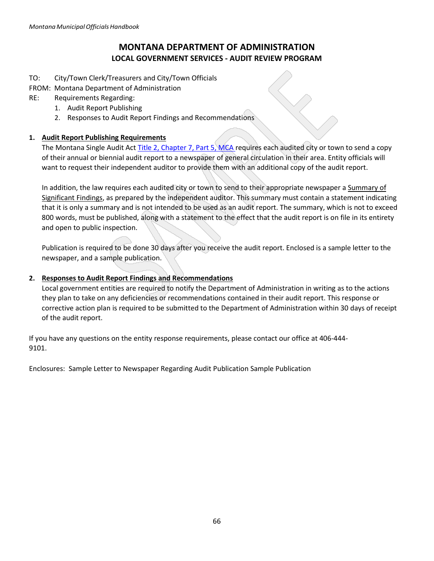### **MONTANA DEPARTMENT OF ADMINISTRATION LOCAL GOVERNMENT SERVICES - AUDIT REVIEW PROGRAM**

- TO: City/Town Clerk/Treasurers and City/Town Officials
- FROM: Montana Department of Administration
- RE: Requirements Regarding:
	- 1. Audit Report Publishing
	- 2. Responses to Audit Report Findings and Recommendations

#### **1. Audit Report Publishing Requirements**

The Montana Single Audit Act Title 2, Chapter 7, Part 5, MCA requires each audited city or town to send a copy of their annual or biennial audit report to a newspaper of general circulation in their area. Entity officials will want to request their independent auditor to provide them with an additional copy of the audit report.

In addition, the law requires each audited city or town to send to their appropriate newspaper a Summary of Significant Findings, as prepared by the independent auditor. This summary must contain a statement indicating that it is only a summary and is not intended to be used as an audit report. The summary, which is not to exceed 800 words, must be published, along with a statement to the effect that the audit report is on file in its entirety and open to public inspection.

Publication is required to be done 30 days after you receive the audit report. Enclosed is a sample letter to the newspaper, and a sample publication.

#### **2. Responses to Audit Report Findings and Recommendations**

Local government entities are required to notify the Department of Administration in writing as to the actions they plan to take on any deficiencies or recommendations contained in their audit report. This response or corrective action plan is required to be submitted to the Department of Administration within 30 days of receipt of the audit report.

If you have any questions on the entity response requirements, please contact our office at 406-444- 9101.

Enclosures: Sample Letter to Newspaper Regarding Audit Publication Sample Publication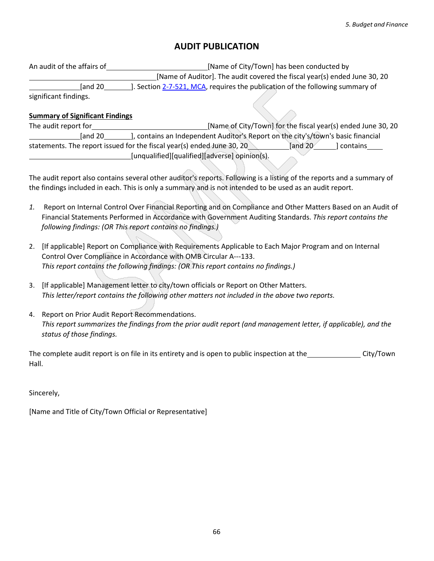## **AUDIT PUBLICATION**

An audit of the affairs of **EXAMO CONDUCT CONDUCT CONDUCTS** [Name of City/Town] has been conducted by [Name of Auditor]. The audit covered the fiscal year(s) ended June 30, 20 [and 20 ]. Section 2-7-521, MCA, requires the publication of the following summary of significant findings.

#### **Summary of Significant Findings**

| The audit report for |                                                                                  |        | [Name of City/Town] for the fiscal year(s) ended June 30, 20 |
|----------------------|----------------------------------------------------------------------------------|--------|--------------------------------------------------------------|
| and 20               | ], contains an Independent Auditor's Report on the city's/town's basic financial |        |                                                              |
|                      | statements. The report issued for the fiscal year(s) ended June 30, 20           | and 20 | contains                                                     |
|                      | [unqualified][qualified][adverse] opinion(s).                                    |        |                                                              |

The audit report also contains several other auditor's reports. Following is a listing of the reports and a summary of the findings included in each. This is only a summary and is not intended to be used as an audit report.

- *1.* Report on Internal Control Over Financial Reporting and on Compliance and Other Matters Based on an Audit of Financial Statements Performed in Accordance with Government Auditing Standards. *This report contains the following findings: (OR This report contains no findings.)*
- 2. [If applicable] Report on Compliance with Requirements Applicable to Each Major Program and on Internal Control Over Compliance in Accordance with OMB Circular A---133. *This report contains the following findings: (OR This report contains no findings.)*
- 3. [If applicable] Management letter to city/town officials or Report on Other Matters. *This letter/report contains the following other matters not included in the above two reports.*
- 4. Report on Prior Audit Report Recommendations. This report summarizes the findings from the prior audit report (and management letter, if applicable), and the *status of those findings.*

The complete audit report is on file in its entirety and is open to public inspection at the City/Town Hall.

Sincerely,

[Name and Title of City/Town Official or Representative]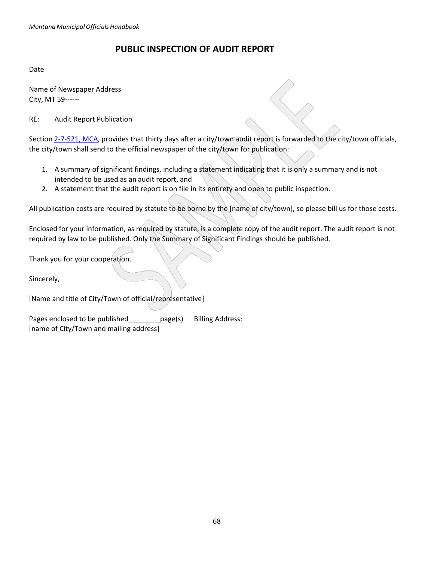## **PUBLIC INSPECTION OF AUDIT REPORT**

Date

Name of Newspaper Address City, MT 59------

RE: Audit Report Publication

Section 2-7-521, MCA, provides that thirty days after a city/town audit report is forwarded to the city/town officials, the city/town shall send to the official newspaper of the city/town for publication:

- 1. A summary of significant findings, including a statement indicating that it is only a summary and is not intended to be used as an audit report, and
- 2. A statement that the audit report is on file in its entirety and open to public inspection.

All publication costs are required by statute to be borne by the [name of city/town], so please bill us for those costs.

Enclosed for your information, as required by statute, is a complete copy of the audit report. The audit report is not required by law to be published. Only the Summary of Significant Findings should be published.

Thank you for your cooperation.

Sincerely,

[Name and title of City/Town of official/representative]

Pages enclosed to be published\_\_\_\_\_\_\_\_\_\_\_\_page(s) Billing Address: [name of City/Town and mailing address]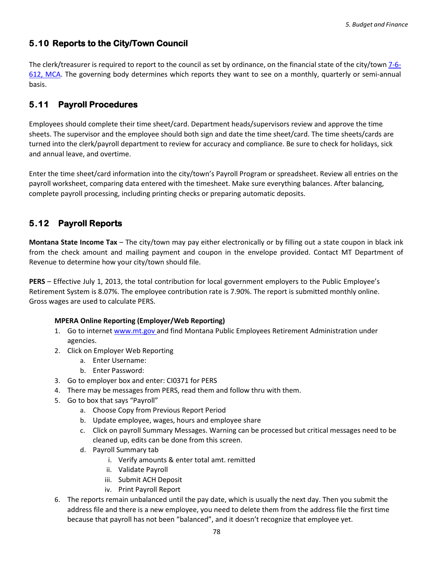### **5.10 Reports to the City/Town Council**

The clerk/treasurer is required to report to the council as set by ordinance, on the financial state of the city/town  $7-6-$ 612, MCA. The governing body determines which reports they want to see on a monthly, quarterly or semi-annual basis.

## **5.11 Payroll Procedures**

Employees should complete their time sheet/card. Department heads/supervisors review and approve the time sheets. The supervisor and the employee should both sign and date the time sheet/card. The time sheets/cards are turned into the clerk/payroll department to review for accuracy and compliance. Be sure to check for holidays, sick and annual leave, and overtime.

Enter the time sheet/card information into the city/town's Payroll Program or spreadsheet. Review all entries on the payroll worksheet, comparing data entered with the timesheet. Make sure everything balances. After balancing, complete payroll processing, including printing checks or preparing automatic deposits.

## **5.12 Payroll Reports**

**Montana State Income Tax** – The city/town may pay either electronically or by filling out a state coupon in black ink from the check amount and mailing payment and coupon in the envelope provided. Contact MT Department of Revenue to determine how your city/town should file.

**PERS** – Effective July 1, 2013, the total contribution for local government employers to the Public Employee's Retirement System is 8.07%. The employee contribution rate is 7.90%. The report is submitted monthly online. Gross wages are used to calculate PERS.

#### **MPERA Online Reporting (Employer/Web Reporting)**

- 1. Go to internet [www.mt.gov](http://www.mt.gov/) and find Montana Public Employees Retirement Administration under agencies.
- 2. Click on Employer Web Reporting
	- a. Enter Username:
	- b. Enter Password:
- 3. Go to employer box and enter: CI0371 for PERS
- 4. There may be messages from PERS, read them and follow thru with them.
- 5. Go to box that says "Payroll"
	- a. Choose Copy from Previous Report Period
	- b. Update employee, wages, hours and employee share
	- c. Click on payroll Summary Messages. Warning can be processed but critical messages need to be cleaned up, edits can be done from this screen.
	- d. Payroll Summary tab
		- i. Verify amounts & enter total amt. remitted
		- ii. Validate Payroll
		- iii. Submit ACH Deposit
		- iv. Print Payroll Report
- 6. The reports remain unbalanced until the pay date, which is usually the next day. Then you submit the address file and there is a new employee, you need to delete them from the address file the first time because that payroll has not been "balanced", and it doesn't recognize that employee yet.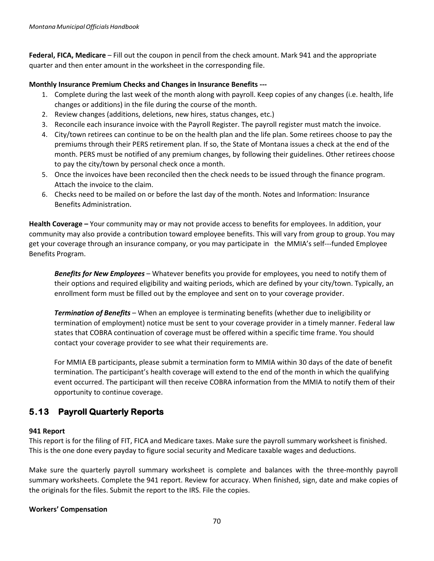**Federal, FICA, Medicare** – Fill out the coupon in pencil from the check amount. Mark 941 and the appropriate quarter and then enter amount in the worksheet in the corresponding file.

#### **Monthly Insurance Premium Checks and Changes in Insurance Benefits ---**

- 1. Complete during the last week of the month along with payroll. Keep copies of any changes (i.e. health, life changes or additions) in the file during the course of the month.
- 2. Review changes (additions, deletions, new hires, status changes, etc.)
- 3. Reconcile each insurance invoice with the Payroll Register. The payroll register must match the invoice.
- 4. City/town retirees can continue to be on the health plan and the life plan. Some retirees choose to pay the premiums through their PERS retirement plan. If so, the State of Montana issues a check at the end of the month. PERS must be notified of any premium changes, by following their guidelines. Other retirees choose to pay the city/town by personal check once a month.
- 5. Once the invoices have been reconciled then the check needs to be issued through the finance program. Attach the invoice to the claim.
- 6. Checks need to be mailed on or before the last day of the month. Notes and Information: Insurance Benefits Administration.

**Health Coverage –** Your community may or may not provide access to benefits for employees. In addition, your community may also provide a contribution toward employee benefits. This will vary from group to group. You may get your coverage through an insurance company, or you may participate in the MMIA's self---funded Employee Benefits Program.

*Benefits for New Employees* – Whatever benefits you provide for employees, you need to notify them of their options and required eligibility and waiting periods, which are defined by your city/town. Typically, an enrollment form must be filled out by the employee and sent on to your coverage provider.

*Termination of Benefits* – When an employee is terminating benefits (whether due to ineligibility or termination of employment) notice must be sent to your coverage provider in a timely manner. Federal law states that COBRA continuation of coverage must be offered within a specific time frame. You should contact your coverage provider to see what their requirements are.

For MMIA EB participants, please submit a termination form to MMIA within 30 days of the date of benefit termination. The participant's health coverage will extend to the end of the month in which the qualifying event occurred. The participant will then receive COBRA information from the MMIA to notify them of their opportunity to continue coverage.

## **5.13 Payroll Quarterly Reports**

#### **941 Report**

This report is for the filing of FIT, FICA and Medicare taxes. Make sure the payroll summary worksheet is finished. This is the one done every payday to figure social security and Medicare taxable wages and deductions.

Make sure the quarterly payroll summary worksheet is complete and balances with the three-monthly payroll summary worksheets. Complete the 941 report. Review for accuracy. When finished, sign, date and make copies of the originals for the files. Submit the report to the IRS. File the copies.

#### **Workers' Compensation**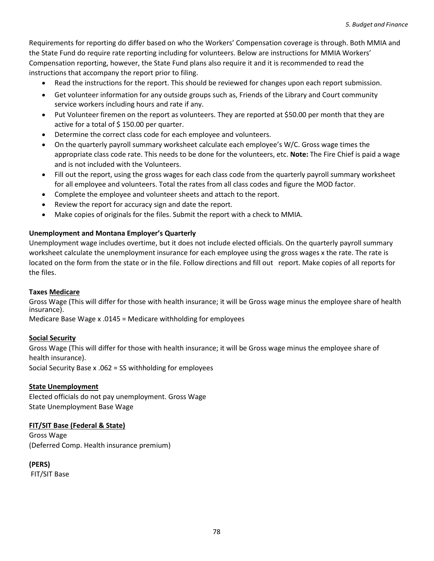Requirements for reporting do differ based on who the Workers' Compensation coverage is through. Both MMIA and the State Fund do require rate reporting including for volunteers. Below are instructions for MMIA Workers' Compensation reporting, however, the State Fund plans also require it and it is recommended to read the instructions that accompany the report prior to filing.

- Read the instructions for the report. This should be reviewed for changes upon each report submission.
- Get volunteer information for any outside groups such as, Friends of the Library and Court community service workers including hours and rate if any.
- Put Volunteer firemen on the report as volunteers. They are reported at \$50.00 per month that they are active for a total of \$150.00 per quarter.
- Determine the correct class code for each employee and volunteers.
- On the quarterly payroll summary worksheet calculate each employee's W/C. Gross wage times the appropriate class code rate. This needs to be done for the volunteers, etc. **Note:** The Fire Chief is paid a wage and is not included with the Volunteers.
- Fill out the report, using the gross wages for each class code from the quarterly payroll summary worksheet for all employee and volunteers. Total the rates from all class codes and figure the MOD factor.
- Complete the employee and volunteer sheets and attach to the report.
- Review the report for accuracy sign and date the report.
- Make copies of originals for the files. Submit the report with a check to MMIA.

#### **Unemployment and Montana Employer's Quarterly**

Unemployment wage includes overtime, but it does not include elected officials. On the quarterly payroll summary worksheet calculate the unemployment insurance for each employee using the gross wages x the rate. The rate is located on the form from the state or in the file. Follow directions and fill out report. Make copies of all reports for the files.

#### **Taxes Medicare**

Gross Wage (This will differ for those with health insurance; it will be Gross wage minus the employee share of health insurance).

Medicare Base Wage x .0145 = Medicare withholding for employees

#### **Social Security**

Gross Wage (This will differ for those with health insurance; it will be Gross wage minus the employee share of health insurance).

Social Security Base x .062 = SS withholding for employees

#### **State Unemployment**

Elected officials do not pay unemployment. Gross Wage State Unemployment Base Wage

#### **FIT/SIT Base (Federal & State)**

Gross Wage (Deferred Comp. Health insurance premium)

**(PERS)** FIT/SIT Base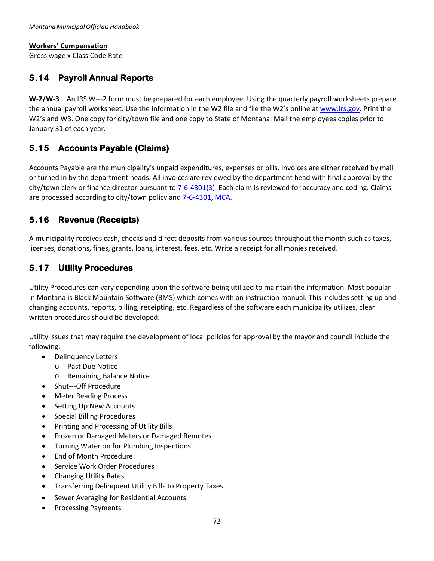#### **Workers' Compensation**

Gross wage x Class Code Rate

### **5.14 Payroll Annual Reports**

**W-2/W-3** – An IRS W---2 form must be prepared for each employee. Using the quarterly payroll worksheets prepare the annual payroll worksheet. Use the information in the W2 file and file the W2's online at [www.irs.gov.](http://www.irs.gov/) Print the W2's and W3. One copy for city/town file and one copy to State of Montana. Mail the employees copies prior to January 31 of each year.

## **5.15 Accounts Payable (Claims)**

Accounts Payable are the municipality's unpaid expenditures, expenses or bills. Invoices are either received by mail or turned in by the department heads. All invoices are reviewed by the department head with final approval by the city/town clerk or finance director pursuant to 7-6-4301(3). Each claim is reviewed for accuracy and coding. Claims are processed according to city/town policy and 7-6-4301, MCA.

## **5.16 Revenue (Receipts)**

A municipality receives cash, checks and direct deposits from various sources throughout the month such as taxes, licenses, donations, fines, grants, loans, interest, fees, etc. Write a receipt for all monies received.

### **5.17 Utility Procedures**

Utility Procedures can vary depending upon the software being utilized to maintain the information. Most popular in Montana is Black Mountain Software (BMS) which comes with an instruction manual. This includes setting up and changing accounts, reports, billing, receipting, etc. Regardless of the software each municipality utilizes, clear written procedures should be developed.

Utility issues that may require the development of local policies for approval by the mayor and council include the following:

- Delinquency Letters
	- o Past Due Notice
	- o Remaining Balance Notice
- Shut---Off Procedure
- Meter Reading Process
- Setting Up New Accounts
- Special Billing Procedures
- Printing and Processing of Utility Bills
- Frozen or Damaged Meters or Damaged Remotes
- Turning Water on for Plumbing Inspections
- End of Month Procedure
- Service Work Order Procedures
- Changing Utility Rates
- Transferring Delinquent Utility Bills to Property Taxes
- Sewer Averaging for Residential Accounts
- Processing Payments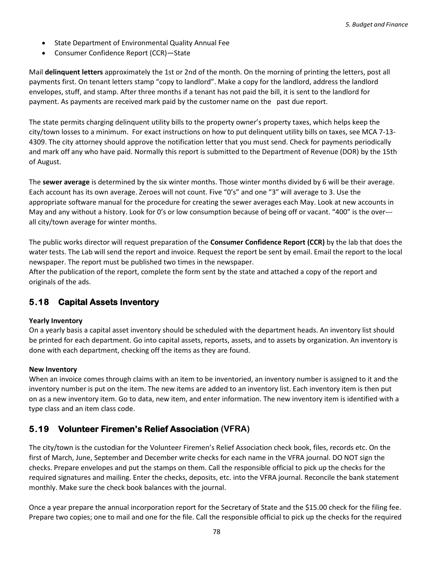- State Department of Environmental Quality Annual Fee
- Consumer Confidence Report (CCR)—State

Mail **delinquent letters** approximately the 1st or 2nd of the month. On the morning of printing the letters, post all payments first. On tenant letters stamp "copy to landlord". Make a copy for the landlord, address the landlord envelopes, stuff, and stamp. After three months if a tenant has not paid the bill, it is sent to the landlord for payment. As payments are received mark paid by the customer name on the past due report.

The state permits charging delinquent utility bills to the property owner's property taxes, which helps keep the city/town losses to a minimum. For exact instructions on how to put delinquent utility bills on taxes, see MCA 7-13- 4309. The city attorney should approve the notification letter that you must send. Check for payments periodically and mark off any who have paid. Normally this report is submitted to the Department of Revenue (DOR) by the 15th of August.

The **sewer average** is determined by the six winter months. Those winter months divided by 6 will be their average. Each account has its own average. Zeroes will not count. Five "0's" and one "3" will average to 3. Use the appropriate software manual for the procedure for creating the sewer averages each May. Look at new accounts in May and any without a history. Look for 0's or low consumption because of being off or vacant. "400" is the over--all city/town average for winter months.

The public works director will request preparation of the **Consumer Confidence Report (CCR)** by the lab that does the water tests. The Lab will send the report and invoice. Request the report be sent by email. Email the report to the local newspaper. The report must be published two times in the newspaper.

After the publication of the report, complete the form sent by the state and attached a copy of the report and originals of the ads.

### **5.18 Capital Assets Inventory**

#### **Yearly Inventory**

On a yearly basis a capital asset inventory should be scheduled with the department heads. An inventory list should be printed for each department. Go into capital assets, reports, assets, and to assets by organization. An inventory is done with each department, checking off the items as they are found.

#### **New Inventory**

When an invoice comes through claims with an item to be inventoried, an inventory number is assigned to it and the inventory number is put on the item. The new items are added to an inventory list. Each inventory item is then put on as a new inventory item. Go to data, new item, and enter information. The new inventory item is identified with a type class and an item class code.

### **5.19 Volunteer Firemen's Relief Association (VFRA)**

The city/town is the custodian for the Volunteer Firemen's Relief Association check book, files, records etc. On the first of March, June, September and December write checks for each name in the VFRA journal. DO NOT sign the checks. Prepare envelopes and put the stamps on them. Call the responsible official to pick up the checks for the required signatures and mailing. Enter the checks, deposits, etc. into the VFRA journal. Reconcile the bank statement monthly. Make sure the check book balances with the journal.

Once a year prepare the annual incorporation report for the Secretary of State and the \$15.00 check for the filing fee. Prepare two copies; one to mail and one for the file. Call the responsible official to pick up the checks for the required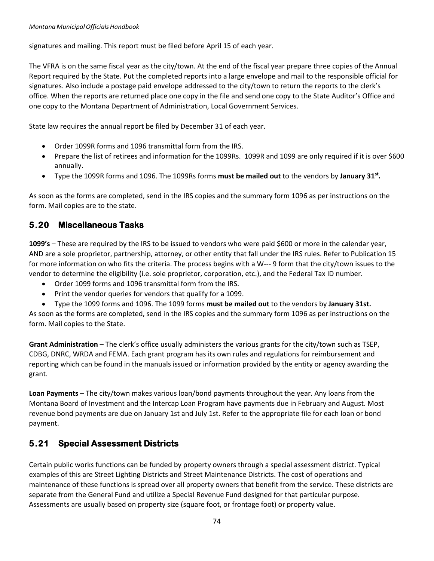signatures and mailing. This report must be filed before April 15 of each year.

The VFRA is on the same fiscal year as the city/town. At the end of the fiscal year prepare three copies of the Annual Report required by the State. Put the completed reports into a large envelope and mail to the responsible official for signatures. Also include a postage paid envelope addressed to the city/town to return the reports to the clerk's office. When the reports are returned place one copy in the file and send one copy to the State Auditor's Office and one copy to the Montana Department of Administration, Local Government Services.

State law requires the annual report be filed by December 31 of each year.

- Order 1099R forms and 1096 transmittal form from the IRS.
- Prepare the list of retirees and information for the 1099Rs. 1099R and 1099 are only required if it is over \$600 annually.
- Type the 1099R forms and 1096. The 1099Rs forms **must be mailed out** to the vendors by **January 31st.**

As soon as the forms are completed, send in the IRS copies and the summary form 1096 as per instructions on the form. Mail copies are to the state.

### **5.20 Miscellaneous Tasks**

**1099's** – These are required by the IRS to be issued to vendors who were paid \$600 or more in the calendar year, AND are a sole proprietor, partnership, attorney, or other entity that fall under the IRS rules. Refer to Publication 15 for more information on who fits the criteria. The process begins with a W--- 9 form that the city/town issues to the vendor to determine the eligibility (i.e. sole proprietor, corporation, etc.), and the Federal Tax ID number.

- Order 1099 forms and 1096 transmittal form from the IRS.
- Print the vendor queries for vendors that qualify for a 1099.
- Type the 1099 forms and 1096. The 1099 forms **must be mailed out** to the vendors by **January 31st.**

As soon as the forms are completed, send in the IRS copies and the summary form 1096 as per instructions on the form. Mail copies to the State.

**Grant Administration** – The clerk's office usually administers the various grants for the city/town such as TSEP, CDBG, DNRC, WRDA and FEMA. Each grant program has its own rules and regulations for reimbursement and reporting which can be found in the manuals issued or information provided by the entity or agency awarding the grant.

**Loan Payments** – The city/town makes various loan/bond payments throughout the year. Any loans from the Montana Board of Investment and the Intercap Loan Program have payments due in February and August. Most revenue bond payments are due on January 1st and July 1st. Refer to the appropriate file for each loan or bond payment.

### **5.21 Special Assessment Districts**

Certain public works functions can be funded by property owners through a special assessment district. Typical examples of this are Street Lighting Districts and Street Maintenance Districts. The cost of operations and maintenance of these functions is spread over all property owners that benefit from the service. These districts are separate from the General Fund and utilize a Special Revenue Fund designed for that particular purpose. Assessments are usually based on property size (square foot, or frontage foot) or property value.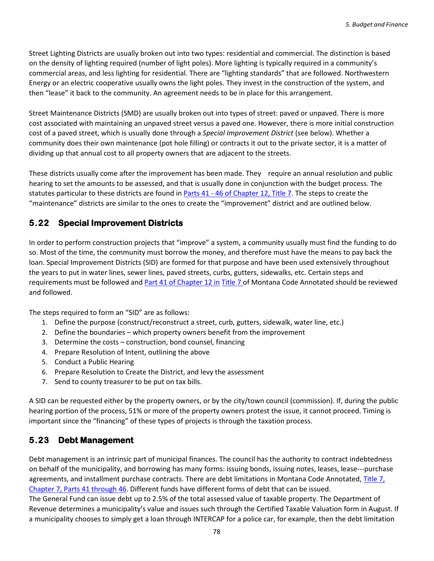Street Lighting Districts are usually broken out into two types: residential and commercial. The distinction is based on the density of lighting required (number of light poles). More lighting is typically required in a community's commercial areas, and less lighting for residential. There are "lighting standards" that are followed. Northwestern Energy or an electric cooperative usually owns the light poles. They invest in the construction of the system, and then "lease" it back to the community. An agreement needs to be in place for this arrangement.

Street Maintenance Districts (SMD) are usually broken out into types of street: paved or unpaved. There is more cost associated with maintaining an unpaved street versus a paved one. However, there is more initial construction cost of a paved street, which is usually done through a *Special Improvement District* (see below). Whether a community does their own maintenance (pot hole filling) or contracts it out to the private sector, it is a matter of dividing up that annual cost to all property owners that are adjacent to the streets.

These districts usually come after the improvement has been made. They require an annual resolution and public hearing to set the amounts to be assessed, and that is usually done in conjunction with the budget process. The statutes particular to these districts are found in Parts 41 - 46 of Chapter 12, Title 7. The steps to create the "maintenance" districts are similar to the ones to create the "improvement" district and are outlined below.

### **5.22 Special Improvement Districts**

In order to perform construction projects that "improve" a system, a community usually must find the funding to do so. Most of the time, the community must borrow the money, and therefore must have the means to pay back the loan. Special Improvement Districts (SID) are formed for that purpose and have been used extensively throughout the years to put in water lines, sewer lines, paved streets, curbs, gutters, sidewalks, etc. Certain steps and requirements must be followed and Part 41 of Chapter 12 in Title 7 of Montana Code Annotated should be reviewed and followed.

The steps required to form an "SID" are as follows:

- 1. Define the purpose (construct/reconstruct a street, curb, gutters, sidewalk, water line, etc.)
- 2. Define the boundaries which property owners benefit from the improvement
- 3. Determine the costs construction, bond counsel, financing
- 4. Prepare Resolution of Intent, outlining the above
- 5. Conduct a Public Hearing
- 6. Prepare Resolution to Create the District, and levy the assessment
- 7. Send to county treasurer to be put on tax bills.

A SID can be requested either by the property owners, or by the city/town council (commission). If, during the public hearing portion of the process, 51% or more of the property owners protest the issue, it cannot proceed. Timing is important since the "financing" of these types of projects is through the taxation process.

### **5.23 Debt Management**

Debt management is an intrinsic part of municipal finances. The council has the authority to contract indebtedness on behalf of the municipality, and borrowing has many forms: issuing bonds, issuing notes, leases, lease---purchase agreements, and installment purchase contracts. There are debt limitations in Montana Code Annotated, Title 7, Chapter 7, Parts 41 through 46. Different funds have different forms of debt that can be issued.

The General Fund can issue debt up to 2.5% of the total assessed value of taxable property. The Department of Revenue determines a municipality's value and issues such through the Certified Taxable Valuation form in August. If a municipality chooses to simply get a loan through INTERCAP for a police car, for example, then the debt limitation